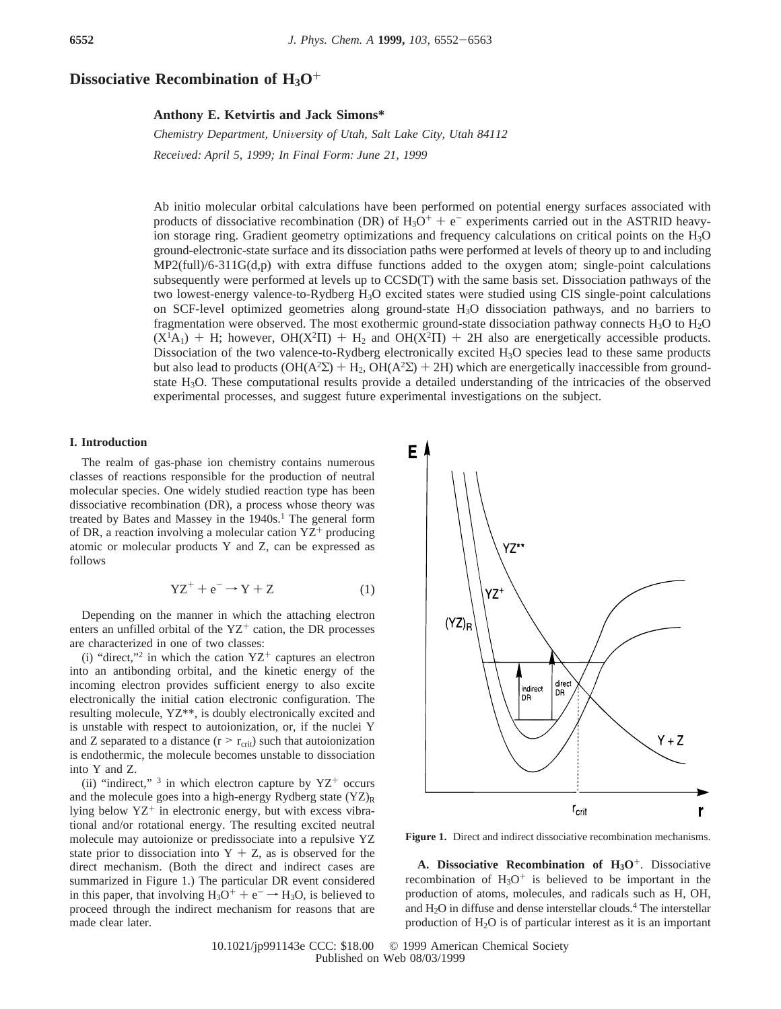# **Dissociative Recombination of H3O**+

## **Anthony E. Ketvirtis and Jack Simons\***

*Chemistry Department, Uni*V*ersity of Utah, Salt Lake City, Utah 84112 Recei*V*ed: April 5, 1999; In Final Form: June 21, 1999*

Ab initio molecular orbital calculations have been performed on potential energy surfaces associated with products of dissociative recombination (DR) of  $H_3O^+ + e^-$  experiments carried out in the ASTRID heavyion storage ring. Gradient geometry optimizations and frequency calculations on critical points on the H3O ground-electronic-state surface and its dissociation paths were performed at levels of theory up to and including  $MP2(full)/6-311G(d,p)$  with extra diffuse functions added to the oxygen atom; single-point calculations subsequently were performed at levels up to CCSD(T) with the same basis set. Dissociation pathways of the two lowest-energy valence-to-Rydberg H<sub>3</sub>O excited states were studied using CIS single-point calculations on SCF-level optimized geometries along ground-state  $H_3O$  dissociation pathways, and no barriers to fragmentation were observed. The most exothermic ground-state dissociation pathway connects H3O to H2O  $(X<sup>1</sup>A<sub>1</sub>)$  + H; however,  $OH(X<sup>2</sup>II)$  +  $H<sub>2</sub>$  and  $OH(X<sup>2</sup>II)$  + 2H also are energetically accessible products. Dissociation of the two valence-to-Rydberg electronically excited  $H_3O$  species lead to these same products but also lead to products  $(OH(A^2\Sigma) + H_2, OH(A^2\Sigma) + 2H)$  which are energetically inaccessible from ground-<br>state H-O. These computational results provide a detailed understanding of the intricacies of the observed state H3O. These computational results provide a detailed understanding of the intricacies of the observed experimental processes, and suggest future experimental investigations on the subject.

# **I. Introduction**

The realm of gas-phase ion chemistry contains numerous classes of reactions responsible for the production of neutral molecular species. One widely studied reaction type has been dissociative recombination (DR), a process whose theory was treated by Bates and Massey in the 1940s.<sup>1</sup> The general form of DR, a reaction involving a molecular cation  $YZ^+$  producing atomic or molecular products Y and Z, can be expressed as follows

$$
YZ^{+} + e^{-} \rightarrow Y + Z \tag{1}
$$

Depending on the manner in which the attaching electron enters an unfilled orbital of the  $YZ^+$  cation, the DR processes are characterized in one of two classes:

(i) "direct,"<sup>2</sup> in which the cation  $YZ^+$  captures an electron into an antibonding orbital, and the kinetic energy of the incoming electron provides sufficient energy to also excite electronically the initial cation electronic configuration. The resulting molecule, YZ\*\*, is doubly electronically excited and is unstable with respect to autoionization, or, if the nuclei Y and Z separated to a distance  $(r > r_{\text{crit}})$  such that autoionization is endothermic, the molecule becomes unstable to dissociation into Y and Z.

(ii) "indirect,"  $\frac{3}{7}$  in which electron capture by YZ<sup>+</sup> occurs and the molecule goes into a high-energy Rydberg state  $(YZ)_R$ lying below  $YZ^+$  in electronic energy, but with excess vibrational and/or rotational energy. The resulting excited neutral molecule may autoionize or predissociate into a repulsive YZ state prior to dissociation into  $Y + Z$ , as is observed for the direct mechanism. (Both the direct and indirect cases are summarized in Figure 1.) The particular DR event considered in this paper, that involving  $H_3O^+ + e^- \rightarrow H_3O$ , is believed to proceed through the indirect mechanism for reasons that are made clear later.



**Figure 1.** Direct and indirect dissociative recombination mechanisms.

**A. Dissociative Recombination of H<sub>3</sub>O<sup>+</sup>. Dissociative** recombination of  $H_3O^+$  is believed to be important in the production of atoms, molecules, and radicals such as H, OH, and  $H<sub>2</sub>O$  in diffuse and dense interstellar clouds.<sup>4</sup> The interstellar production of  $H_2O$  is of particular interest as it is an important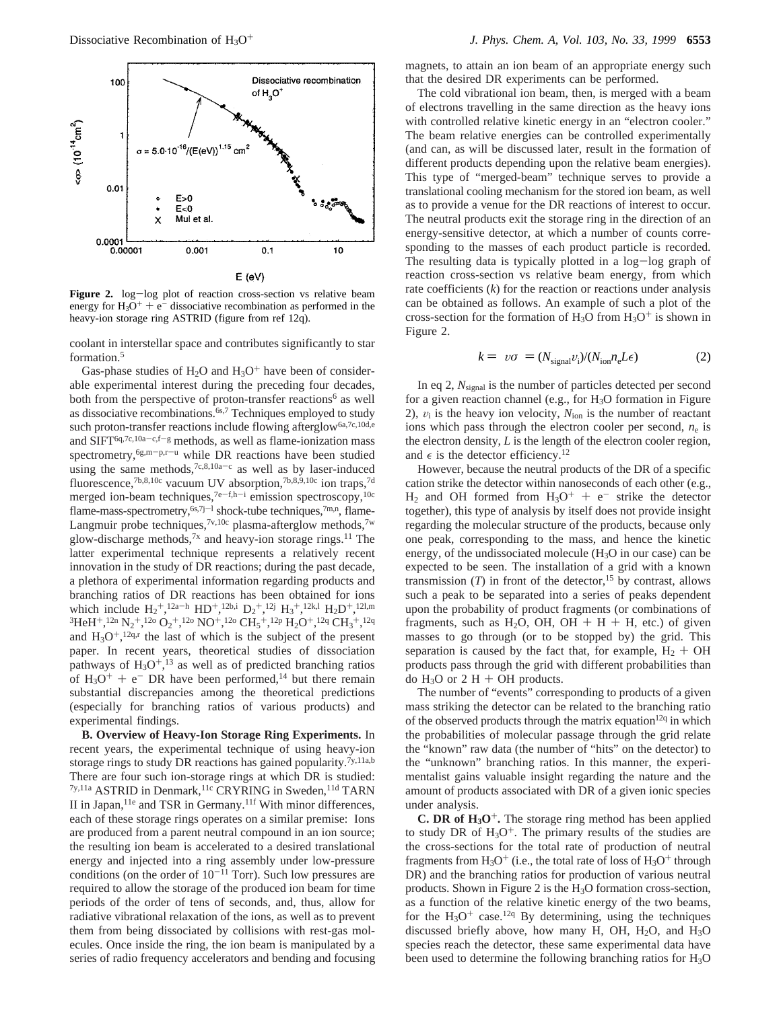

**Figure 2.** log-log plot of reaction cross-section vs relative beam energy for  $H_3O^+ + e^-$  dissociative recombination as performed in the heavy-ion storage ring ASTRID (figure from ref 12q).

coolant in interstellar space and contributes significantly to star formation.5

Gas-phase studies of  $H_2O$  and  $H_3O^+$  have been of considerable experimental interest during the preceding four decades, both from the perspective of proton-transfer reactions<sup>6</sup> as well as dissociative recombinations.<sup>6s,7</sup> Techniques employed to study such proton-transfer reactions include flowing afterglow<sup>6a,7c,10d,e</sup> and SIFT<sup>6q,7c,10a-c,f-g</sup> methods, as well as flame-ionization mass spectrometry,<sup>6g,m-p,r-u</sup> while DR reactions have been studied using the same methods,<sup>7c,8,10a-c</sup> as well as by laser-induced fluorescence,<sup>7b,8,10c</sup> vacuum UV absorption,<sup>7b,8,9,10c</sup> ion traps,<sup>7d</sup> merged ion-beam techniques,<sup>7e-f,h-i</sup> emission spectroscopy,<sup>10c</sup> flame-mass-spectrometry,  $6s$ ,  $7j-1$  shock-tube techniques,  $7m,n$ , flame-Langmuir probe techniques,<sup>7v,10c</sup> plasma-afterglow methods,<sup>7w</sup> glow-discharge methods,<sup>7x</sup> and heavy-ion storage rings.<sup>11</sup> The latter experimental technique represents a relatively recent innovation in the study of DR reactions; during the past decade, a plethora of experimental information regarding products and branching ratios of DR reactions has been obtained for ions which include  $H_2^+$ ,  $12a-h$   $HD^+$ ,  $12b$ ,  $D_2^+$ ,  $12j$   $H_3^+$ ,  $12k$ ,  $H_2D^+$ ,  $12l$ ,  $m$  ${}^{3}\text{HeH}^{+}$ , ${}^{12n}$  N<sub>2</sub><sup>+</sup>, ${}^{12o}$  O<sub>2</sub><sup>+</sup>, ${}^{12o}$  NO<sup>+</sup>, ${}^{12o}$  CH<sub>5</sub><sup>+</sup>, ${}^{12p}$  H<sub>2</sub>O<sup>+</sup>, ${}^{12q}$  CH<sub>3</sub><sup>+</sup>, ${}^{12q}$ and  $H_3O^+$ ,  $^{12q,r}$  the last of which is the subject of the present paper. In recent years, theoretical studies of dissociation pathways of  $H_3O^+,$ <sup>13</sup> as well as of predicted branching ratios of  $H_3O^+$  + e<sup>-</sup> DR have been performed,<sup>14</sup> but there remain substantial discrepancies among the theoretical predictions (especially for branching ratios of various products) and experimental findings.

**B. Overview of Heavy-Ion Storage Ring Experiments.** In recent years, the experimental technique of using heavy-ion storage rings to study DR reactions has gained popularity.<sup>7y,11a,b</sup> There are four such ion-storage rings at which DR is studied: 7y,11a ASTRID in Denmark,<sup>11c</sup> CRYRING in Sweden,<sup>11d</sup> TARN II in Japan,<sup>11e</sup> and TSR in Germany.<sup>11f</sup> With minor differences, each of these storage rings operates on a similar premise: Ions are produced from a parent neutral compound in an ion source; the resulting ion beam is accelerated to a desired translational energy and injected into a ring assembly under low-pressure conditions (on the order of  $10^{-11}$  Torr). Such low pressures are required to allow the storage of the produced ion beam for time periods of the order of tens of seconds, and, thus, allow for radiative vibrational relaxation of the ions, as well as to prevent them from being dissociated by collisions with rest-gas molecules. Once inside the ring, the ion beam is manipulated by a series of radio frequency accelerators and bending and focusing

magnets, to attain an ion beam of an appropriate energy such that the desired DR experiments can be performed.

The cold vibrational ion beam, then, is merged with a beam of electrons travelling in the same direction as the heavy ions with controlled relative kinetic energy in an "electron cooler." The beam relative energies can be controlled experimentally (and can, as will be discussed later, result in the formation of different products depending upon the relative beam energies). This type of "merged-beam" technique serves to provide a translational cooling mechanism for the stored ion beam, as well as to provide a venue for the DR reactions of interest to occur. The neutral products exit the storage ring in the direction of an energy-sensitive detector, at which a number of counts corresponding to the masses of each product particle is recorded. The resulting data is typically plotted in a log-log graph of reaction cross-section vs relative beam energy, from which rate coefficients (*k*) for the reaction or reactions under analysis can be obtained as follows. An example of such a plot of the cross-section for the formation of  $H_3O$  from  $H_3O^+$  is shown in Figure 2.

$$
k = \langle v\sigma \rangle = (N_{\text{signal}}v_{\text{i}})/(N_{\text{ion}}n_{\text{e}}L\epsilon)
$$
 (2)

In eq 2, *N*signal is the number of particles detected per second for a given reaction channel (e.g., for  $H_3O$  formation in Figure 2),  $v_i$  is the heavy ion velocity,  $N_{ion}$  is the number of reactant ions which pass through the electron cooler per second,  $n_e$  is the electron density, *L* is the length of the electron cooler region, and  $\epsilon$  is the detector efficiency.<sup>12</sup>

However, because the neutral products of the DR of a specific cation strike the detector within nanoseconds of each other (e.g.,  $H_2$  and OH formed from  $H_3O^+ + e^-$  strike the detector together), this type of analysis by itself does not provide insight regarding the molecular structure of the products, because only one peak, corresponding to the mass, and hence the kinetic energy, of the undissociated molecule (H3O in our case) can be expected to be seen. The installation of a grid with a known transmission  $(T)$  in front of the detector,<sup>15</sup> by contrast, allows such a peak to be separated into a series of peaks dependent upon the probability of product fragments (or combinations of fragments, such as  $H_2O$ , OH, OH + H + H, etc.) of given masses to go through (or to be stopped by) the grid. This separation is caused by the fact that, for example,  $H_2 + OH$ products pass through the grid with different probabilities than do  $H_3O$  or 2 H + OH products.

The number of "events" corresponding to products of a given mass striking the detector can be related to the branching ratio of the observed products through the matrix equation<sup>12q</sup> in which the probabilities of molecular passage through the grid relate the "known" raw data (the number of "hits" on the detector) to the "unknown" branching ratios. In this manner, the experimentalist gains valuable insight regarding the nature and the amount of products associated with DR of a given ionic species under analysis.

**C. DR of**  $H_3O^+$ **. The storage ring method has been applied** to study DR of  $H_3O^+$ . The primary results of the studies are the cross-sections for the total rate of production of neutral fragments from  $H_3O^+$  (i.e., the total rate of loss of  $H_3O^+$  through DR) and the branching ratios for production of various neutral products. Shown in Figure 2 is the H3O formation cross-section, as a function of the relative kinetic energy of the two beams, for the  $H_3O^+$  case.<sup>12q</sup> By determining, using the techniques discussed briefly above, how many H, OH,  $H_2O$ , and  $H_3O$ species reach the detector, these same experimental data have been used to determine the following branching ratios for  $H_3O$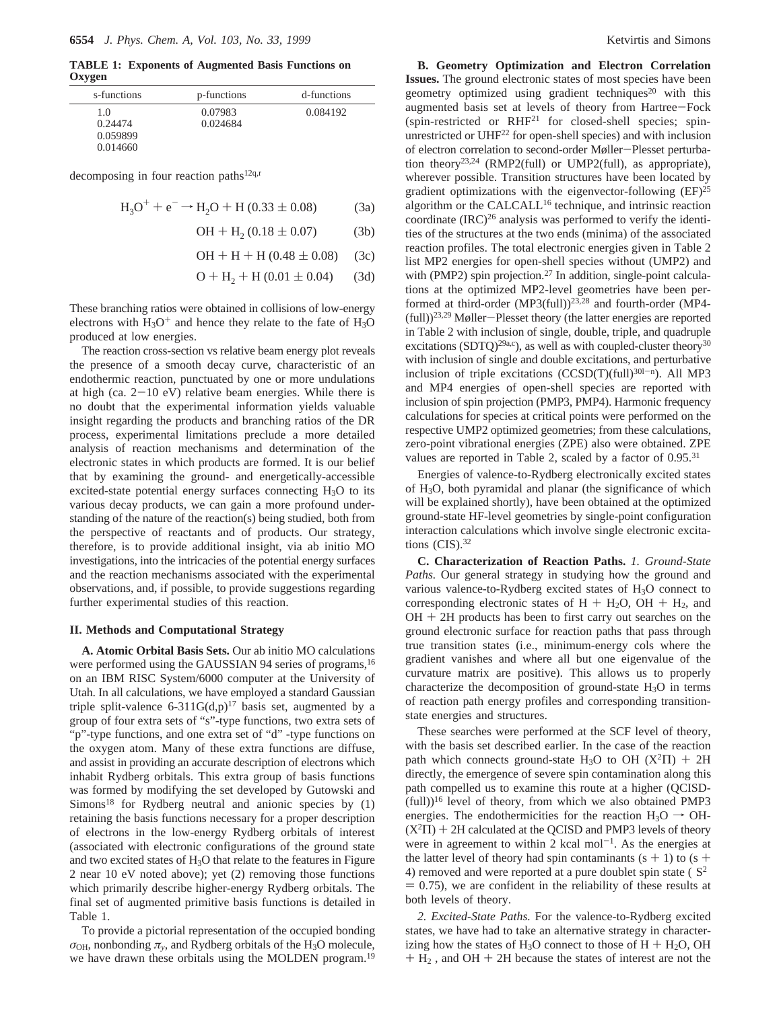**TABLE 1: Exponents of Augmented Basis Functions on Oxygen**

| s-functions | p-functions | d-functions |  |  |
|-------------|-------------|-------------|--|--|
| 1.0         | 0.07983     | 0.084192    |  |  |
| 0.24474     | 0.024684    |             |  |  |
| 0.059899    |             |             |  |  |
| 0.014660    |             |             |  |  |

decomposing in four reaction paths $12q,r$ 

$$
H_3O^+ + e^- \rightarrow H_2O + H (0.33 \pm 0.08)
$$
 (3a)

$$
OH + H2 (0.18 \pm 0.07)
$$
 (3b)

$$
OH + H + H (0.48 \pm 0.08) \quad (3c)
$$

$$
O + H_2 + H (0.01 \pm 0.04)
$$
 (3d)

These branching ratios were obtained in collisions of low-energy electrons with  $H_3O^+$  and hence they relate to the fate of  $H_3O$ produced at low energies.

The reaction cross-section vs relative beam energy plot reveals the presence of a smooth decay curve, characteristic of an endothermic reaction, punctuated by one or more undulations at high (ca.  $2-10$  eV) relative beam energies. While there is no doubt that the experimental information yields valuable insight regarding the products and branching ratios of the DR process, experimental limitations preclude a more detailed analysis of reaction mechanisms and determination of the electronic states in which products are formed. It is our belief that by examining the ground- and energetically-accessible excited-state potential energy surfaces connecting H<sub>3</sub>O to its various decay products, we can gain a more profound understanding of the nature of the reaction(s) being studied, both from the perspective of reactants and of products. Our strategy, therefore, is to provide additional insight, via ab initio MO investigations, into the intricacies of the potential energy surfaces and the reaction mechanisms associated with the experimental observations, and, if possible, to provide suggestions regarding further experimental studies of this reaction.

# **II. Methods and Computational Strategy**

**A. Atomic Orbital Basis Sets.** Our ab initio MO calculations were performed using the GAUSSIAN 94 series of programs,<sup>16</sup> on an IBM RISC System/6000 computer at the University of Utah. In all calculations, we have employed a standard Gaussian triple split-valence 6-311G(d,p)<sup>17</sup> basis set, augmented by a group of four extra sets of "s"-type functions, two extra sets of "p"-type functions, and one extra set of "d" -type functions on the oxygen atom. Many of these extra functions are diffuse, and assist in providing an accurate description of electrons which inhabit Rydberg orbitals. This extra group of basis functions was formed by modifying the set developed by Gutowski and  $Simons<sup>18</sup>$  for Rydberg neutral and anionic species by  $(1)$ retaining the basis functions necessary for a proper description of electrons in the low-energy Rydberg orbitals of interest (associated with electronic configurations of the ground state and two excited states of H3O that relate to the features in Figure 2 near 10 eV noted above); yet (2) removing those functions which primarily describe higher-energy Rydberg orbitals. The final set of augmented primitive basis functions is detailed in Table 1.

To provide a pictorial representation of the occupied bonding  $\sigma_{\text{OH}}$ , nonbonding  $\pi_{v}$ , and Rydberg orbitals of the H<sub>3</sub>O molecule, we have drawn these orbitals using the MOLDEN program.<sup>19</sup>

**B. Geometry Optimization and Electron Correlation Issues.** The ground electronic states of most species have been geometry optimized using gradient techniques<sup>20</sup> with this augmented basis set at levels of theory from Hartree-Fock (spin-restricted or  $RHF<sup>21</sup>$  for closed-shell species; spinunrestricted or UHF<sup>22</sup> for open-shell species) and with inclusion of electron correlation to second-order Møller-Plesset perturba-<br>tion theory<sup>23,24</sup> (RMP2(full) or UMP2(full), as appropriate), wherever possible. Transition structures have been located by gradient optimizations with the eigenvector-following  $(EF)^{25}$ algorithm or the CALCALL16 technique, and intrinsic reaction coordinate  $(IRC)^{26}$  analysis was performed to verify the identities of the structures at the two ends (minima) of the associated reaction profiles. The total electronic energies given in Table 2 list MP2 energies for open-shell species without (UMP2) and with (PMP2) spin projection.<sup>27</sup> In addition, single-point calculations at the optimized MP2-level geometries have been performed at third-order (MP3(full))<sup>23,28</sup> and fourth-order (MP4-(full))23,29 Møller-Plesset theory (the latter energies are reported in Table 2 with inclusion of single, double, triple, and quadruple excitations (SDTQ)<sup>29a,c</sup>), as well as with coupled-cluster theory<sup>30</sup> with inclusion of single and double excitations, and perturbative inclusion of triple excitations  $(CCSD(T)(full)^{30l-n})$ . All MP3 and MP4 energies of open-shell species are reported with inclusion of spin projection (PMP3, PMP4). Harmonic frequency calculations for species at critical points were performed on the respective UMP2 optimized geometries; from these calculations, zero-point vibrational energies (ZPE) also were obtained. ZPE values are reported in Table 2, scaled by a factor of 0.95.<sup>31</sup>

Energies of valence-to-Rydberg electronically excited states of H3O, both pyramidal and planar (the significance of which will be explained shortly), have been obtained at the optimized ground-state HF-level geometries by single-point configuration interaction calculations which involve single electronic excitations  $(CIS).$ <sup>32</sup>

**C. Characterization of Reaction Paths.** *1. Ground-State Paths.* Our general strategy in studying how the ground and various valence-to-Rydberg excited states of H<sub>3</sub>O connect to corresponding electronic states of  $H + H<sub>2</sub>O$ , OH +  $H<sub>2</sub>$ , and  $OH + 2H$  products has been to first carry out searches on the ground electronic surface for reaction paths that pass through true transition states (i.e., minimum-energy cols where the gradient vanishes and where all but one eigenvalue of the curvature matrix are positive). This allows us to properly characterize the decomposition of ground-state H3O in terms of reaction path energy profiles and corresponding transitionstate energies and structures.

These searches were performed at the SCF level of theory, with the basis set described earlier. In the case of the reaction path which connects ground-state H<sub>3</sub>O to OH  $(X^2\Pi) + 2H$ directly, the emergence of severe spin contamination along this path compelled us to examine this route at a higher (QCISD-  $(full)$ <sup>16</sup> level of theory, from which we also obtained PMP3 energies. The endothermicities for the reaction  $H_3O \rightarrow OH (X^2\Pi)$  + 2H calculated at the QCISD and PMP3 levels of theory were in agreement to within 2 kcal mol<sup>-1</sup>. As the energies at the latter level of theory had spin contaminants  $(s + 1)$  to  $(s + 1)$ 4) removed and were reported at a pure doublet spin state  $\langle S^2 \rangle$  $= 0.75$ ), we are confident in the reliability of these results at both levels of theory.

*2. Excited-State Paths.* For the valence-to-Rydberg excited states, we have had to take an alternative strategy in characterizing how the states of  $H_3O$  connect to those of  $H + H_2O$ , OH  $+ H<sub>2</sub>$ , and OH  $+ 2H$  because the states of interest are not the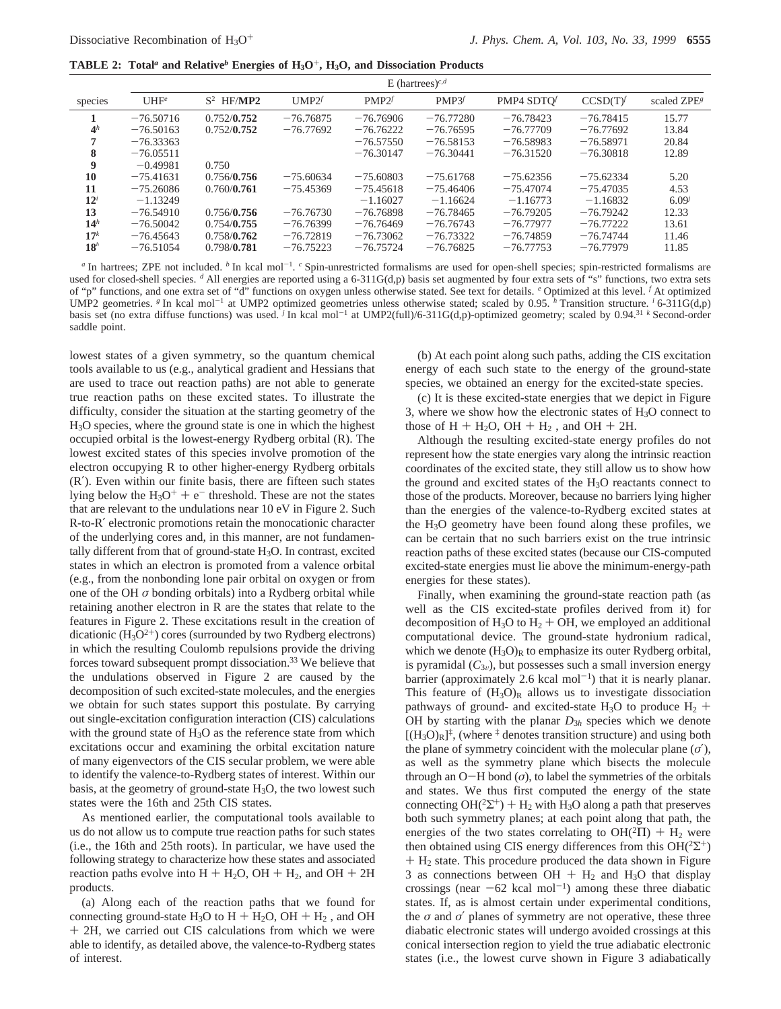**TABLE 2: Total***<sup>a</sup>* **and Relative***<sup>b</sup>* **Energies of H3O**+**, H3O, and Dissociation Products**

|                 | E (hartrees) <sup>c,d</sup> |                                               |                   |             |             |             |             |                         |
|-----------------|-----------------------------|-----------------------------------------------|-------------------|-------------|-------------|-------------|-------------|-------------------------|
| species         | $UHF^e$                     | $\langle \mathrm{S}^2 \rangle$ HF/ <b>MP2</b> | UMP2 <sup>f</sup> | PMP2f       | PMP3f       | PMP4 SDTO   | CCSD(T)     | scaled ZPE <sup>s</sup> |
|                 | $-76.50716$                 | 0.752/0.752                                   | $-76.76875$       | $-76.76906$ | $-76.77280$ | $-76.78423$ | $-76.78415$ | 15.77                   |
| 4 <sup>h</sup>  | $-76.50163$                 | 0.752/0.752                                   | $-76.77692$       | $-76.76222$ | $-76.76595$ | $-76,77709$ | $-76.77692$ | 13.84                   |
| 7               | $-76.33363$                 |                                               |                   | $-76.57550$ | $-76.58153$ | $-76.58983$ | $-76.58971$ | 20.84                   |
| 8               | $-76.05511$                 |                                               |                   | $-76.30147$ | $-76,30441$ | $-76.31520$ | $-76.30818$ | 12.89                   |
| 9               | $-0.49981$                  | 0.750                                         |                   |             |             |             |             |                         |
| 10              | $-75.41631$                 | 0.756/0.756                                   | $-75.60634$       | $-75.60803$ | $-75.61768$ | $-75.62356$ | $-75.62334$ | 5.20                    |
| 11              | $-75.26086$                 | 0.760/0.761                                   | $-75.45369$       | $-75.45618$ | $-75.46406$ | $-75.47074$ | $-75.47035$ | 4.53                    |
| $12^i$          | $-1.13249$                  |                                               |                   | $-1.16027$  | $-1.16624$  | $-1.16773$  | $-1.16832$  | $6.09^{j}$              |
| 13              | $-76.54910$                 | 0.756/0.756                                   | $-76.76730$       | $-76.76898$ | $-76.78465$ | $-76.79205$ | $-76.79242$ | 12.33                   |
| 14 <sup>h</sup> | $-76.50042$                 | 0.754/0.755                                   | $-76.76399$       | $-76.76469$ | $-76.76743$ | $-76.77977$ | $-76.77222$ | 13.61                   |
| 17 <sup>k</sup> | $-76.45643$                 | 0.758/0.762                                   | $-76.72819$       | $-76.73062$ | $-76.73322$ | $-76.74859$ | $-76.74744$ | 11.46                   |
| 18 <sup>h</sup> | $-76.51054$                 | 0.798/0.781                                   | $-76.75223$       | $-76.75724$ | $-76.76825$ | $-76.77753$ | $-76.77979$ | 11.85                   |

*a* In hartrees; ZPE not included. *b* In kcal mol<sup>-1</sup>. *c* Spin-unrestricted formalisms are used for open-shell species; spin-restricted formalisms are used for closed-shell species. <sup>*d*</sup> All energies are reported using a 6-311G(d,p) basis set augmented by four extra sets of "s" functions, two extra sets of "p" functions, and one extra set of "d" functions on oxygen unless otherwise stated. See text for details. *<sup>e</sup>* Optimized at this level. *<sup>f</sup>* At optimized UMP2 geometries. <sup>*g*</sup> In kcal mol<sup>-1</sup> at UMP2 optimized geometries unless otherwise stated; scaled by 0.95. *h* Transition structure. *i* 6-311G(d,p) basis set (no extra diffuse functions) was used. <sup>*j*</sup> In kcal mol<sup>-1</sup> at UMP2(full)/6-311G(d,p)-optimized geometry; scaled by 0.94.<sup>31</sup> *k* Second-order saddle point.

lowest states of a given symmetry, so the quantum chemical tools available to us (e.g., analytical gradient and Hessians that are used to trace out reaction paths) are not able to generate true reaction paths on these excited states. To illustrate the difficulty, consider the situation at the starting geometry of the H3O species, where the ground state is one in which the highest occupied orbital is the lowest-energy Rydberg orbital (R). The lowest excited states of this species involve promotion of the electron occupying R to other higher-energy Rydberg orbitals (R′). Even within our finite basis, there are fifteen such states lying below the  $H_3O^+ + e^-$  threshold. These are not the states that are relevant to the undulations near 10 eV in Figure 2. Such R-to-R′ electronic promotions retain the monocationic character of the underlying cores and, in this manner, are not fundamentally different from that of ground-state  $H_3O$ . In contrast, excited states in which an electron is promoted from a valence orbital (e.g., from the nonbonding lone pair orbital on oxygen or from one of the OH *σ* bonding orbitals) into a Rydberg orbital while retaining another electron in R are the states that relate to the features in Figure 2. These excitations result in the creation of dicationic  $(H_3O^{2+})$  cores (surrounded by two Rydberg electrons) in which the resulting Coulomb repulsions provide the driving forces toward subsequent prompt dissociation.<sup>33</sup> We believe that the undulations observed in Figure 2 are caused by the decomposition of such excited-state molecules, and the energies we obtain for such states support this postulate. By carrying out single-excitation configuration interaction (CIS) calculations with the ground state of  $H_3O$  as the reference state from which excitations occur and examining the orbital excitation nature of many eigenvectors of the CIS secular problem, we were able to identify the valence-to-Rydberg states of interest. Within our basis, at the geometry of ground-state  $H_3O$ , the two lowest such states were the 16th and 25th CIS states.

As mentioned earlier, the computational tools available to us do not allow us to compute true reaction paths for such states (i.e., the 16th and 25th roots). In particular, we have used the following strategy to characterize how these states and associated reaction paths evolve into  $H + H<sub>2</sub>O$ , OH +  $H<sub>2</sub>$ , and OH + 2H products.

(a) Along each of the reaction paths that we found for connecting ground-state  $H_3O$  to  $H + H_2O$ ,  $OH + H_2$ , and OH + 2H, we carried out CIS calculations from which we were able to identify, as detailed above, the valence-to-Rydberg states of interest.

(b) At each point along such paths, adding the CIS excitation energy of each such state to the energy of the ground-state species, we obtained an energy for the excited-state species.

(c) It is these excited-state energies that we depict in Figure 3, where we show how the electronic states of  $H_3O$  connect to those of  $H + H<sub>2</sub>O$ ,  $OH + H<sub>2</sub>$ , and  $OH + 2H$ .

Although the resulting excited-state energy profiles do not represent how the state energies vary along the intrinsic reaction coordinates of the excited state, they still allow us to show how the ground and excited states of the  $H_3O$  reactants connect to those of the products. Moreover, because no barriers lying higher than the energies of the valence-to-Rydberg excited states at the H3O geometry have been found along these profiles, we can be certain that no such barriers exist on the true intrinsic reaction paths of these excited states (because our CIS-computed excited-state energies must lie above the minimum-energy-path energies for these states).

Finally, when examining the ground-state reaction path (as well as the CIS excited-state profiles derived from it) for decomposition of  $H_3O$  to  $H_2 + OH$ , we employed an additional computational device. The ground-state hydronium radical, which we denote  $(H_3O)<sub>R</sub>$  to emphasize its outer Rydberg orbital, is pyramidal  $(C_{3v})$ , but possesses such a small inversion energy barrier (approximately 2.6 kcal mol<sup>-1</sup>) that it is nearly planar. This feature of  $(H<sub>3</sub>O)<sub>R</sub>$  allows us to investigate dissociation pathways of ground- and excited-state H<sub>3</sub>O to produce H<sub>2</sub> + OH by starting with the planar *D*<sup>3</sup>*<sup>h</sup>* species which we denote  $[(H<sub>3</sub>O)<sub>R</sub>]<sup>‡</sup>$ , (where  $<sup>‡</sup>$  denotes transition structure) and using both</sup> the plane of symmetry coincident with the molecular plane (*σ*′), as well as the symmetry plane which bisects the molecule through an  $O-H$  bond  $(\sigma)$ , to label the symmetries of the orbitals and states. We thus first computed the energy of the state connecting OH( ${}^{2}\Sigma^{+}$ ) + H<sub>2</sub> with H<sub>3</sub>O along a path that preserves both such symmetry planes; at each point along that path, the energies of the two states correlating to  $OH(^{2}\Pi) + H_{2}$  were then obtained using CIS energy differences from this  $OH(^{2}\Sigma^{+})$  $+ H<sub>2</sub>$  state. This procedure produced the data shown in Figure 3 as connections between  $OH + H_2$  and  $H_3O$  that display crossings (near  $-62$  kcal mol<sup>-1</sup>) among these three diabatic states. If, as is almost certain under experimental conditions, the  $\sigma$  and  $\sigma'$  planes of symmetry are not operative, these three diabatic electronic states will undergo avoided crossings at this conical intersection region to yield the true adiabatic electronic states (i.e., the lowest curve shown in Figure 3 adiabatically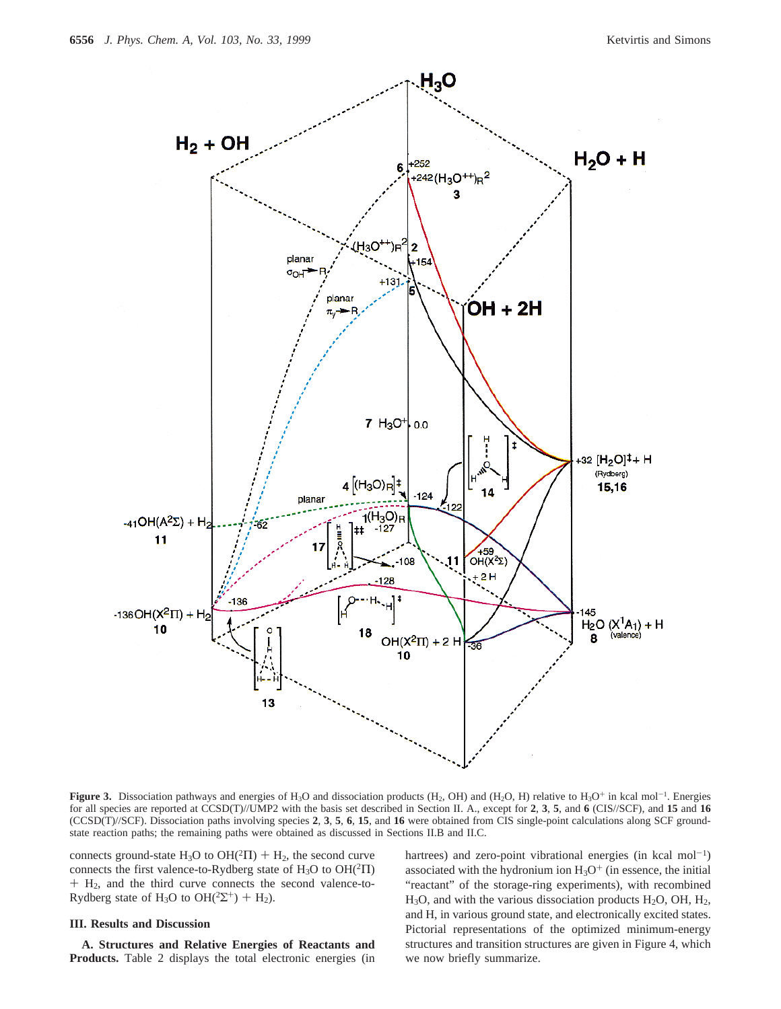

**Figure 3.** Dissociation pathways and energies of  $H_3O$  and dissociation products ( $H_2$ , OH) and ( $H_2O$ , H) relative to  $H_3O^+$  in kcal mol<sup>-1</sup>. Energies for all species are reported at CCSD(T)//UMP2 with the basis set described in Section II. A., except for **2**, **3**, **5**, and **6** (CIS//SCF), and **15** and **16** (CCSD(T)//SCF). Dissociation paths involving species **2**, **3**, **5**, **6**, **15**, and **16** were obtained from CIS single-point calculations along SCF groundstate reaction paths; the remaining paths were obtained as discussed in Sections II.B and II.C.

connects ground-state H<sub>3</sub>O to OH( $^2\Pi$ ) + H<sub>2</sub>, the second curve connects the first valence-to-Rydberg state of  $H_3O$  to  $OH(^2\Pi)$ + H2, and the third curve connects the second valence-to-Rydberg state of H<sub>3</sub>O to OH(<sup>2</sup> $\Sigma$ <sup>+</sup>) + H<sub>2</sub>).

## **III. Results and Discussion**

**A. Structures and Relative Energies of Reactants and Products.** Table 2 displays the total electronic energies (in hartrees) and zero-point vibrational energies (in kcal mol<sup>-1</sup>) associated with the hydronium ion  $H_3O^+$  (in essence, the initial "reactant" of the storage-ring experiments), with recombined  $H<sub>3</sub>O$ , and with the various dissociation products  $H<sub>2</sub>O$ , OH,  $H<sub>2</sub>$ , and H, in various ground state, and electronically excited states. Pictorial representations of the optimized minimum-energy structures and transition structures are given in Figure 4, which we now briefly summarize.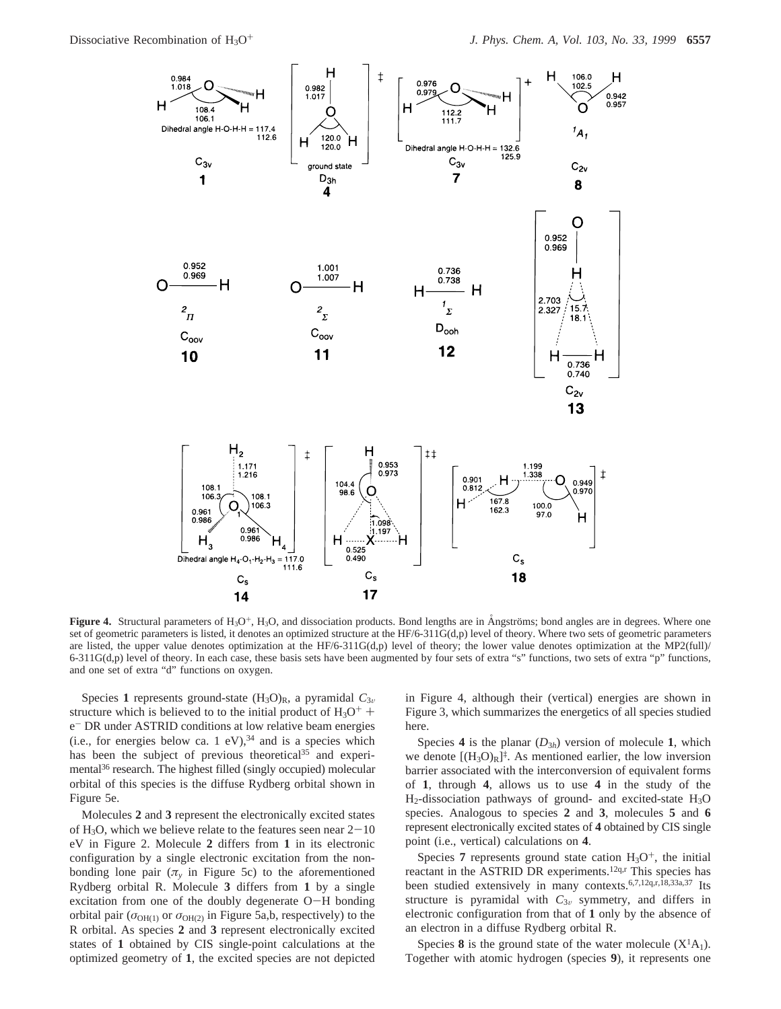

**Figure 4.** Structural parameters of  $H_3O^+$ ,  $H_3O$ , and dissociation products. Bond lengths are in Angströms; bond angles are in degrees. Where one set of geometric parameters is listed, it denotes an optimized structure at the HF/6-311G(d,p) level of theory. Where two sets of geometric parameters are listed, the upper value denotes optimization at the HF/6-311G(d,p) level of theory; the lower value denotes optimization at the MP2(full)/  $6-311G(d,p)$  level of theory. In each case, these basis sets have been augmented by four sets of extra "s" functions, two sets of extra "p" functions, and one set of extra "d" functions on oxygen.

Species 1 represents ground-state  $(H_3O)_R$ , a pyramidal  $C_{3v}$ structure which is believed to to the initial product of  $H_3O^+$  + e- DR under ASTRID conditions at low relative beam energies (i.e., for energies below ca. 1 eV),  $34$  and is a species which has been the subject of previous theoretical<sup>35</sup> and experimental<sup>36</sup> research. The highest filled (singly occupied) molecular orbital of this species is the diffuse Rydberg orbital shown in Figure 5e.

Molecules **2** and **3** represent the electronically excited states of H<sub>3</sub>O, which we believe relate to the features seen near  $2-10$ eV in Figure 2. Molecule **2** differs from **1** in its electronic configuration by a single electronic excitation from the nonbonding lone pair  $(\pi_{\nu})$  in Figure 5c) to the aforementioned Rydberg orbital R. Molecule **3** differs from **1** by a single excitation from one of the doubly degenerate O-H bonding orbital pair  $(\sigma_{OH(1)}$  or  $\sigma_{OH(2)}$  in Figure 5a,b, respectively) to the R orbital. As species **2** and **3** represent electronically excited states of **1** obtained by CIS single-point calculations at the optimized geometry of **1**, the excited species are not depicted in Figure 4, although their (vertical) energies are shown in Figure 3, which summarizes the energetics of all species studied here.

Species 4 is the planar  $(D_{3h})$  version of molecule 1, which we denote  $[(H_3O)_R]^{\ddagger}$ . As mentioned earlier, the low inversion barrier associated with the interconversion of equivalent forms of **1**, through **4**, allows us to use **4** in the study of the  $H_2$ -dissociation pathways of ground- and excited-state  $H_3O$ species. Analogous to species **2** and **3**, molecules **5** and **6** represent electronically excited states of **4** obtained by CIS single point (i.e., vertical) calculations on **4**.

Species **7** represents ground state cation  $H_3O^+$ , the initial reactant in the ASTRID DR experiments.<sup>12q,r</sup> This species has been studied extensively in many contexts.6,7,12q,r,18,33a,37 Its structure is pyramidal with  $C_{3v}$  symmetry, and differs in electronic configuration from that of **1** only by the absence of an electron in a diffuse Rydberg orbital R.

Species 8 is the ground state of the water molecule  $(X<sup>1</sup>A<sub>1</sub>)$ . Together with atomic hydrogen (species **9**), it represents one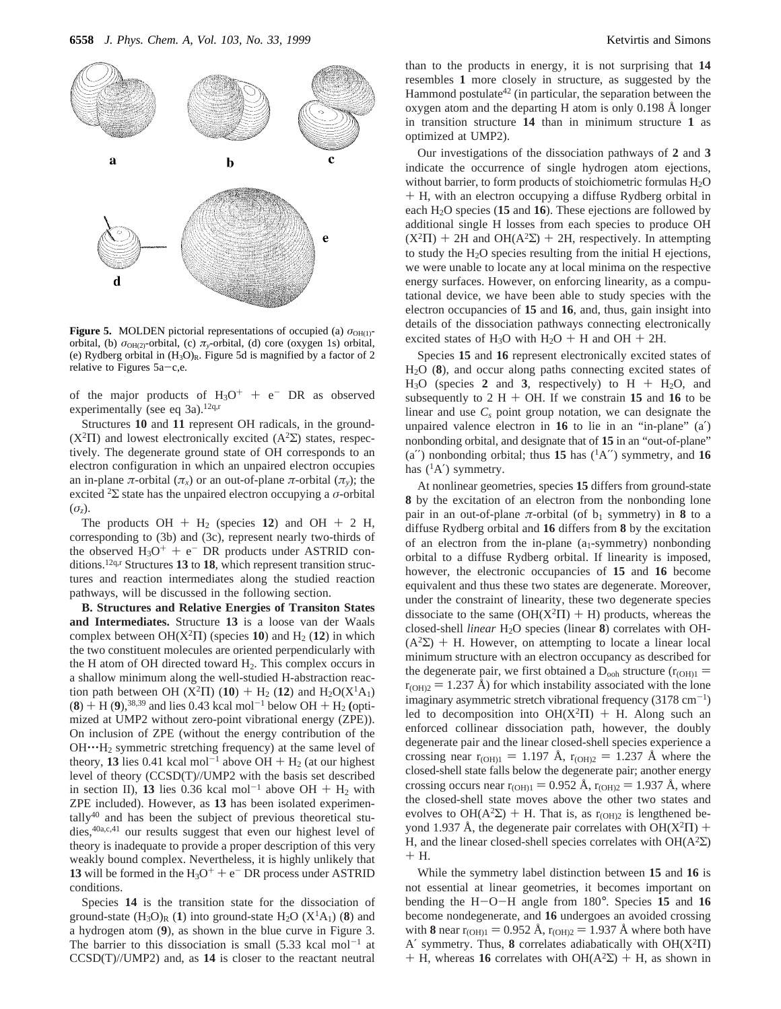

**Figure 5.** MOLDEN pictorial representations of occupied (a)  $\sigma_{OH(1)}$ orbital, (b)  $\sigma_{OH(2)}$ -orbital, (c)  $\pi_{v}$ -orbital, (d) core (oxygen 1s) orbital, (e) Rydberg orbital in  $(H<sub>3</sub>O)<sub>R</sub>$ . Figure 5d is magnified by a factor of 2 relative to Figures  $5a-c,e$ .

of the major products of  $H_3O^+$  + e<sup>-</sup> DR as observed experimentally (see eq 3a).<sup>12q,r</sup>

Structures **10** and **11** represent OH radicals, in the ground-  $(X^2\Pi)$  and lowest electronically excited  $(A^2\Sigma)$  states, respectively. The degenerate ground state of OH corresponds to an electron configuration in which an unpaired electron occupies an in-plane *π*-orbital ( $\pi$ <sub>*x*</sub>) or an out-of-plane *π*-orbital ( $\pi$ <sub>*v*</sub>); the excited <sup>2</sup> $\Sigma$  state has the unpaired electron occupying a *σ*-orbital (*σz*).

The products  $OH + H_2$  (species 12) and  $OH + 2 H$ , corresponding to (3b) and (3c), represent nearly two-thirds of the observed  $H_3O^+ + e^-$  DR products under ASTRID conditions.12q,r Structures **13** to **18**, which represent transition structures and reaction intermediates along the studied reaction pathways, will be discussed in the following section.

**B. Structures and Relative Energies of Transiton States and Intermediates.** Structure **13** is a loose van der Waals complex between  $OH(X^2\Pi)$  (species 10) and  $H_2$  (12) in which the two constituent molecules are oriented perpendicularly with the H atom of OH directed toward  $H_2$ . This complex occurs in a shallow minimum along the well-studied H-abstraction reaction path between OH ( $X^2\Pi$ ) (**10**) + H<sub>2</sub> (**12**) and H<sub>2</sub>O( $X^1A_1$ )  $(8)$  + H (9),<sup>38,39</sup> and lies 0.43 kcal mol<sup>-1</sup> below OH + H<sub>2</sub> (optimized at UMP2 without zero-point vibrational energy (ZPE)). On inclusion of ZPE (without the energy contribution of the OH····H<sub>2</sub> symmetric stretching frequency) at the same level of theory, **13** lies 0.41 kcal mol<sup>-1</sup> above OH +  $H_2$  (at our highest level of theory (CCSD(T)//UMP2 with the basis set described in section II), **13** lies 0.36 kcal mol<sup>-1</sup> above OH +  $H_2$  with ZPE included). However, as **13** has been isolated experimentally40 and has been the subject of previous theoretical studies,<sup>40a,c,41</sup> our results suggest that even our highest level of theory is inadequate to provide a proper description of this very weakly bound complex. Nevertheless, it is highly unlikely that **13** will be formed in the  $H_3O^+$  + e<sup>-</sup> DR process under ASTRID conditions.

Species **14** is the transition state for the dissociation of ground-state  $(H_3O)_R$  (1) into ground-state  $H_2O$  ( $X^1A_1$ ) (8) and a hydrogen atom (**9**), as shown in the blue curve in Figure 3. The barrier to this dissociation is small  $(5.33 \text{ kcal mol}^{-1}$  at CCSD(T)//UMP2) and, as **14** is closer to the reactant neutral

than to the products in energy, it is not surprising that **14** resembles **1** more closely in structure, as suggested by the Hammond postulate<sup>42</sup> (in particular, the separation between the oxygen atom and the departing H atom is only  $0.198 \text{ Å}$  longer in transition structure **14** than in minimum structure **1** as optimized at UMP2).

Our investigations of the dissociation pathways of **2** and **3** indicate the occurrence of single hydrogen atom ejections, without barrier, to form products of stoichiometric formulas H<sub>2</sub>O + H, with an electron occupying a diffuse Rydberg orbital in each H2O species (**15** and **16**). These ejections are followed by additional single H losses from each species to produce OH  $(X^2\Pi)$  + 2H and OH( $A^2\Sigma$ ) + 2H, respectively. In attempting to study the H2O species resulting from the initial H ejections, we were unable to locate any at local minima on the respective energy surfaces. However, on enforcing linearity, as a computational device, we have been able to study species with the electron occupancies of **15** and **16**, and, thus, gain insight into details of the dissociation pathways connecting electronically excited states of H<sub>3</sub>O with H<sub>2</sub>O + H and OH + 2H.

Species **15** and **16** represent electronically excited states of H2O (**8**), and occur along paths connecting excited states of  $H_3O$  (species 2 and 3, respectively) to  $H + H_2O$ , and subsequently to  $2 H + OH$ . If we constrain 15 and 16 to be linear and use  $C_s$  point group notation, we can designate the unpaired valence electron in **16** to lie in an "in-plane" (a′) nonbonding orbital, and designate that of **15** in an "out-of-plane" (a'') nonbonding orbital; thus  $15$  has  $(^1A'')$  symmetry, and  $16$ has  $({}^{1}A')$  symmetry.

At nonlinear geometries, species **15** differs from ground-state **8** by the excitation of an electron from the nonbonding lone pair in an out-of-plane  $\pi$ -orbital (of b<sub>1</sub> symmetry) in **8** to a diffuse Rydberg orbital and **16** differs from **8** by the excitation of an electron from the in-plane  $(a_1$ -symmetry) nonbonding orbital to a diffuse Rydberg orbital. If linearity is imposed, however, the electronic occupancies of **15** and **16** become equivalent and thus these two states are degenerate. Moreover, under the constraint of linearity, these two degenerate species dissociate to the same  $(OH(X<sup>2</sup>\Pi) + H)$  products, whereas the closed-shell *linear* H<sub>2</sub>O species (linear 8) correlates with OH- $(A<sup>2</sup>\Sigma)$  + H. However, on attempting to locate a linear local minimum structure with an electron occupancy as described for the degenerate pair, we first obtained a  $D_{\text{coh}}$  structure ( $r_{\text{(OH)}} =$  $r_{\text{(OH)}2} = 1.237 \text{ Å}$ ) for which instability associated with the lone imaginary asymmetric stretch vibrational frequency  $(3178 \text{ cm}^{-1})$ led to decomposition into  $OH(X^2\Pi) + H$ . Along such an enforced collinear dissociation path, however, the doubly degenerate pair and the linear closed-shell species experience a crossing near  $r_{\text{(OH)}} = 1.197 \text{ Å}$ ,  $r_{\text{(OH)}} = 1.237 \text{ Å}$  where the closed-shell state falls below the degenerate pair; another energy crossing occurs near  $r_{\text{(OH)}} = 0.952 \text{ Å}$ ,  $r_{\text{(OH)}} = 1.937 \text{ Å}$ , where the closed-shell state moves above the other two states and evolves to OH( $A^2\Sigma$ ) + H. That is, as r<sub>(OH)2</sub> is lengthened beyond 1.937 Å, the degenerate pair correlates with  $OH(X<sup>2</sup>\Pi)$  + H, and the linear closed-shell species correlates with  $OH(A<sup>2</sup>\Sigma)$ + H.

While the symmetry label distinction between **15** and **16** is not essential at linear geometries, it becomes important on bending the H-O-H angle from 180°. Species **<sup>15</sup>** and **<sup>16</sup>** become nondegenerate, and **16** undergoes an avoided crossing with **8** near  $r_{\text{(OH)}} = 0.952 \text{ Å}$ ,  $r_{\text{(OH)}} = 1.937 \text{ Å}$  where both have A′ symmetry. Thus, **8** correlates adiabatically with OH(X2Π)  $+$  H, whereas **16** correlates with OH( $A<sup>2</sup>\Sigma$ ) + H, as shown in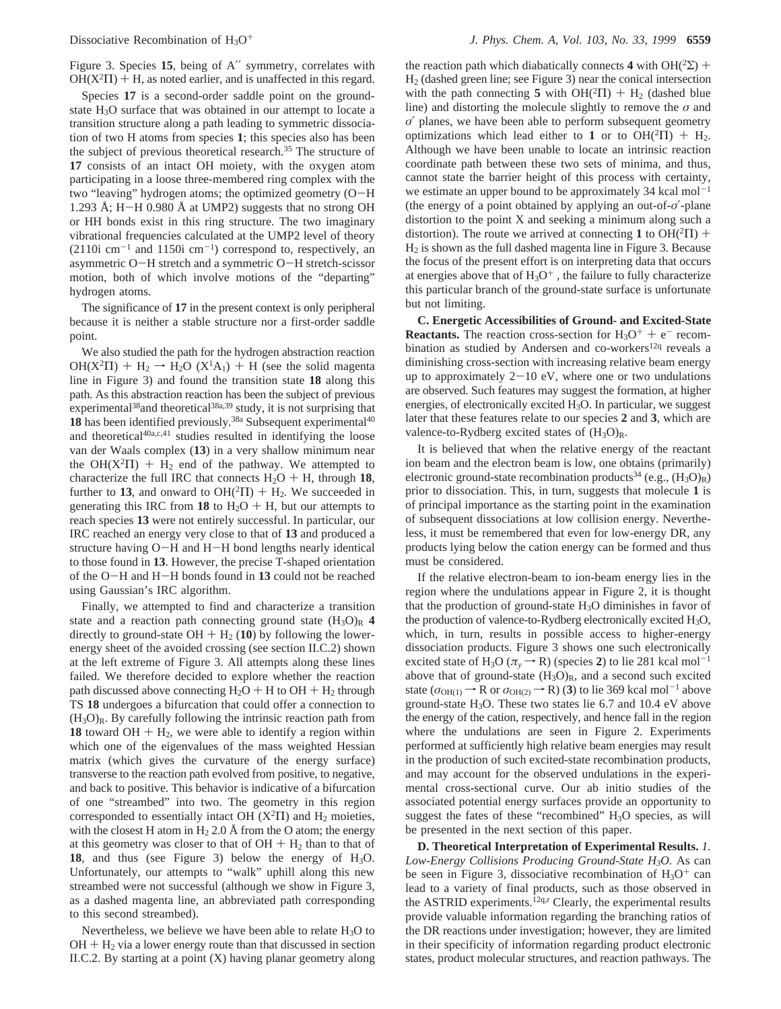Figure 3. Species **15**, being of A′′ symmetry, correlates with  $OH(X<sup>2</sup>II) + H$ , as noted earlier, and is unaffected in this regard.

Species **17** is a second-order saddle point on the groundstate  $H_3O$  surface that was obtained in our attempt to locate a transition structure along a path leading to symmetric dissociation of two H atoms from species **1**; this species also has been the subject of previous theoretical research.<sup>35</sup> The structure of **17** consists of an intact OH moiety, with the oxygen atom participating in a loose three-membered ring complex with the two "leaving" hydrogen atoms; the optimized geometry (O-<sup>H</sup> 1.293 Å; H-H 0.980 Å at UMP2) suggests that no strong OH or HH bonds exist in this ring structure. The two imaginary vibrational frequencies calculated at the UMP2 level of theory  $(2110i \text{ cm}^{-1} \text{ and } 1150i \text{ cm}^{-1})$  correspond to, respectively, an asymmetric O-H stretch and a symmetric O-H stretch-scissor motion, both of which involve motions of the "departing" hydrogen atoms.

The significance of **17** in the present context is only peripheral because it is neither a stable structure nor a first-order saddle point.

We also studied the path for the hydrogen abstraction reaction OH( $X^2\Pi$ ) + H<sub>2</sub>  $\rightarrow$  H<sub>2</sub>O ( $X^1A_1$ ) + H (see the solid magenta line in Figure 3) and found the transition state **18** along this path. As this abstraction reaction has been the subject of previous experimental<sup>38</sup> and theoretical<sup>38a,39</sup> study, it is not surprising that 18 has been identified previously.<sup>38a</sup> Subsequent experimental<sup>40</sup> and theoretical $40a,c,41$  studies resulted in identifying the loose van der Waals complex (**13**) in a very shallow minimum near the OH( $X^2\Pi$ ) + H<sub>2</sub> end of the pathway. We attempted to characterize the full IRC that connects  $H_2O + H$ , through 18, further to 13, and onward to  $OH(^{2}\Pi) + H_{2}$ . We succeeded in generating this IRC from 18 to  $H_2O + H$ , but our attempts to reach species **13** were not entirely successful. In particular, our IRC reached an energy very close to that of **13** and produced a structure having O-H and H-H bond lengths nearly identical to those found in **13**. However, the precise T-shaped orientation of the O-H and H-H bonds found in **<sup>13</sup>** could not be reached using Gaussian's IRC algorithm.

Finally, we attempted to find and characterize a transition state and a reaction path connecting ground state  $(H_3O)_R$  4 directly to ground-state  $OH + H_2 (10)$  by following the lowerenergy sheet of the avoided crossing (see section II.C.2) shown at the left extreme of Figure 3. All attempts along these lines failed. We therefore decided to explore whether the reaction path discussed above connecting  $H_2O + H$  to  $OH + H_2$  through TS **18** undergoes a bifurcation that could offer a connection to  $(H<sub>3</sub>O)<sub>R</sub>$ . By carefully following the intrinsic reaction path from **18** toward OH  $+$  H<sub>2</sub>, we were able to identify a region within which one of the eigenvalues of the mass weighted Hessian matrix (which gives the curvature of the energy surface) transverse to the reaction path evolved from positive, to negative, and back to positive. This behavior is indicative of a bifurcation of one "streambed" into two. The geometry in this region corresponded to essentially intact OH  $(X<sup>2</sup>\Pi)$  and H<sub>2</sub> moieties, with the closest H atom in  $H_2$  2.0 Å from the O atom; the energy at this geometry was closer to that of  $OH + H<sub>2</sub>$  than to that of **18**, and thus (see Figure 3) below the energy of H3O. Unfortunately, our attempts to "walk" uphill along this new streambed were not successful (although we show in Figure 3, as a dashed magenta line, an abbreviated path corresponding to this second streambed).

Nevertheless, we believe we have been able to relate H3O to  $OH + H<sub>2</sub>$  via a lower energy route than that discussed in section II.C.2. By starting at a point  $(X)$  having planar geometry along

the reaction path which diabatically connects 4 with  $OH(^{2}\Sigma)$  + H2 (dashed green line; see Figure 3) near the conical intersection with the path connecting 5 with  $OH(^{2}\Pi) + H_{2}$  (dashed blue line) and distorting the molecule slightly to remove the *σ* and *σ*′ planes, we have been able to perform subsequent geometry optimizations which lead either to 1 or to  $OH(^{2}\Pi) + H_{2}$ . Although we have been unable to locate an intrinsic reaction coordinate path between these two sets of minima, and thus, cannot state the barrier height of this process with certainty, we estimate an upper bound to be approximately 34 kcal mol<sup> $-1$ </sup> (the energy of a point obtained by applying an out-of-*σ*′-plane distortion to the point X and seeking a minimum along such a distortion). The route we arrived at connecting **1** to  $OH(^{2}\Pi)$  + H2 is shown as the full dashed magenta line in Figure 3. Because the focus of the present effort is on interpreting data that occurs at energies above that of  $H_3O^+$ , the failure to fully characterize this particular branch of the ground-state surface is unfortunate but not limiting.

**C. Energetic Accessibilities of Ground- and Excited-State Reactants.** The reaction cross-section for  $H_3O^+$  + e<sup>-</sup> recombination as studied by Andersen and co-workers<sup>12q</sup> reveals a diminishing cross-section with increasing relative beam energy up to approximately  $2-10$  eV, where one or two undulations are observed. Such features may suggest the formation, at higher energies, of electronically excited H3O. In particular, we suggest later that these features relate to our species **2** and **3**, which are valence-to-Rydberg excited states of  $(H_3O)_R$ .

It is believed that when the relative energy of the reactant ion beam and the electron beam is low, one obtains (primarily) electronic ground-state recombination products<sup>34</sup> (e.g.,  $(H_3O)_R$ ) prior to dissociation. This, in turn, suggests that molecule **1** is of principal importance as the starting point in the examination of subsequent dissociations at low collision energy. Nevertheless, it must be remembered that even for low-energy DR, any products lying below the cation energy can be formed and thus must be considered.

If the relative electron-beam to ion-beam energy lies in the region where the undulations appear in Figure 2, it is thought that the production of ground-state H3O diminishes in favor of the production of valence-to-Rydberg electronically excited  $H_3O$ , which, in turn, results in possible access to higher-energy dissociation products. Figure 3 shows one such electronically excited state of H<sub>3</sub>O ( $\pi$ <sup>*y*</sup>  $\rightarrow$  R) (species 2) to lie 281 kcal mol<sup>-1</sup> above that of ground-state  $(H_3O)<sub>R</sub>$ , and a second such excited state ( $\sigma_{OH(1)} \rightarrow R$  or  $\sigma_{OH(2)} \rightarrow R$ ) (3) to lie 369 kcal mol<sup>-1</sup> above ground-state  $H_3O$ . These two states lie 6.7 and 10.4 eV above the energy of the cation, respectively, and hence fall in the region where the undulations are seen in Figure 2. Experiments performed at sufficiently high relative beam energies may result in the production of such excited-state recombination products, and may account for the observed undulations in the experimental cross-sectional curve. Our ab initio studies of the associated potential energy surfaces provide an opportunity to suggest the fates of these "recombined" H<sub>3</sub>O species, as will be presented in the next section of this paper.

**D. Theoretical Interpretation of Experimental Results.** *1. Low-Energy Collisions Producing Ground-State H3O.* As can be seen in Figure 3, dissociative recombination of  $H_3O^+$  can lead to a variety of final products, such as those observed in the ASTRID experiments.<sup>12q,r</sup> Clearly, the experimental results provide valuable information regarding the branching ratios of the DR reactions under investigation; however, they are limited in their specificity of information regarding product electronic states, product molecular structures, and reaction pathways. The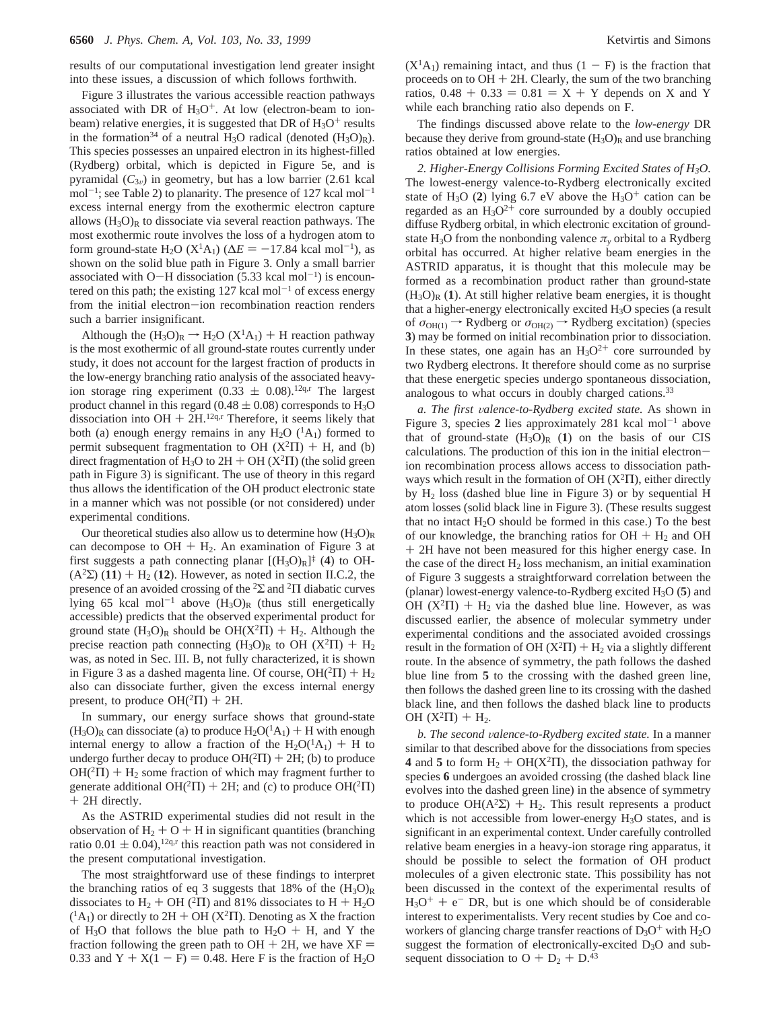Figure 3 illustrates the various accessible reaction pathways associated with DR of  $H_3O^+$ . At low (electron-beam to ionbeam) relative energies, it is suggested that DR of  $H_3O^+$  results in the formation<sup>34</sup> of a neutral H<sub>3</sub>O radical (denoted  $(H_3O)<sub>R</sub>$ ). This species possesses an unpaired electron in its highest-filled (Rydberg) orbital, which is depicted in Figure 5e, and is pyramidal  $(C_{3v})$  in geometry, but has a low barrier (2.61 kcal  $mol^{-1}$ ; see Table 2) to planarity. The presence of 127 kcal mol<sup>-1</sup> excess internal energy from the exothermic electron capture allows  $(H_3O)<sub>R</sub>$  to dissociate via several reaction pathways. The most exothermic route involves the loss of a hydrogen atom to form ground-state H<sub>2</sub>O ( $X^1A_1$ ) ( $\Delta E = -17.84$  kcal mol<sup>-1</sup>), as shown on the solid blue path in Figure 3. Only a small barrier associated with O-H dissociation  $(5.33 \text{ kcal mol}^{-1})$  is encountered on this path; the existing  $127$  kcal mol<sup>-1</sup> of excess energy from the initial electron-ion recombination reaction renders such a barrier insignificant.

Although the  $(H_3O)_R \rightarrow H_2O (X^1A_1) + H$  reaction pathway is the most exothermic of all ground-state routes currently under study, it does not account for the largest fraction of products in the low-energy branching ratio analysis of the associated heavyion storage ring experiment (0.33  $\pm$  0.08).<sup>12q,r</sup> The largest product channel in this regard ( $0.48 \pm 0.08$ ) corresponds to H<sub>3</sub>O dissociation into OH  $+$  2H.<sup>12q,r</sup> Therefore, it seems likely that both (a) enough energy remains in any  $H_2O(^1A_1)$  formed to permit subsequent fragmentation to OH  $(X^2\Pi)$  + H, and (b) direct fragmentation of H<sub>3</sub>O to  $2H + OH (X<sup>2</sup>II)$  (the solid green path in Figure 3) is significant. The use of theory in this regard thus allows the identification of the OH product electronic state in a manner which was not possible (or not considered) under experimental conditions.

Our theoretical studies also allow us to determine how  $(H_3O)<sub>R</sub>$ can decompose to  $OH + H_2$ . An examination of Figure 3 at first suggests a path connecting planar  $[(H_3O)_R]^{\ddagger}$  (4) to OH- $(A<sup>2</sup>\Sigma)$  (11) + H<sub>2</sub> (12). However, as noted in section II.C.2, the presence of an avoided crossing of the <sup>2</sup>Σ and <sup>2</sup>Π diabatic curves lying 65 kcal mol<sup>-1</sup> above  $(H_3O)<sub>R</sub>$  (thus still energetically accessible) predicts that the observed experimental product for ground state  $(H_3O)<sub>R</sub>$  should be  $OH(X<sup>2</sup><sub>\Pi</sub>) + H<sub>2</sub>$ . Although the precise reaction path connecting  $(H_3O)<sub>R</sub>$  to OH  $(X<sup>2</sup>\Pi) + H_2$ was, as noted in Sec. III. B, not fully characterized, it is shown in Figure 3 as a dashed magenta line. Of course,  $OH(^{2}\Pi) + H_{2}$ also can dissociate further, given the excess internal energy present, to produce  $OH(^{2}\Pi) + 2H$ .

In summary, our energy surface shows that ground-state  $(H<sub>3</sub>O)<sub>R</sub>$  can dissociate (a) to produce  $H<sub>2</sub>O<sup>(1</sup>A<sub>1</sub>) + H$  with enough internal energy to allow a fraction of the  $H_2O(^1A_1) + H$  to undergo further decay to produce  $OH(^{2}\Pi) + 2H$ ; (b) to produce  $OH(^{2}\Pi) + H_{2}$  some fraction of which may fragment further to generate additional OH( ${}^{2}\Pi$ ) + 2H; and (c) to produce OH( ${}^{2}\Pi$ ) + 2H directly.

As the ASTRID experimental studies did not result in the observation of  $H_2 + O + H$  in significant quantities (branching ratio 0.01  $\pm$  0.04),<sup>12q,r</sup> this reaction path was not considered in the present computational investigation.

The most straightforward use of these findings to interpret the branching ratios of eq 3 suggests that 18% of the  $(H_3O)_R$ dissociates to  $H_2 + OH$  (<sup>2</sup> $\Pi$ ) and 81% dissociates to  $H + H_2O$  $({}^{1}A_{1})$  or directly to 2H + OH (X<sup>2</sup>II). Denoting as X the fraction of H<sub>3</sub>O that follows the blue path to  $H_2O + H$ , and Y the fraction following the green path to  $OH + 2H$ , we have  $XF =$ 0.33 and  $Y + X(1 - F) = 0.48$ . Here F is the fraction of H<sub>2</sub>O  $(X<sup>1</sup>A<sub>1</sub>)$  remaining intact, and thus  $(1 - F)$  is the fraction that proceeds on to  $OH + 2H$ . Clearly, the sum of the two branching ratios,  $0.48 + 0.33 = 0.81 = X + Y$  depends on X and Y while each branching ratio also depends on F.

The findings discussed above relate to the *low-energy* DR because they derive from ground-state  $(H_3O)<sub>R</sub>$  and use branching ratios obtained at low energies.

*2. Higher-Energy Collisions Forming Excited States of H3O.* The lowest-energy valence-to-Rydberg electronically excited state of H<sub>3</sub>O (2) lying 6.7 eV above the H<sub>3</sub>O<sup>+</sup> cation can be regarded as an  $H_3O^{2+}$  core surrounded by a doubly occupied diffuse Rydberg orbital, in which electronic excitation of groundstate H<sub>3</sub>O from the nonbonding valence  $\pi$ <sup>*y*</sup> orbital to a Rydberg orbital has occurred. At higher relative beam energies in the ASTRID apparatus, it is thought that this molecule may be formed as a recombination product rather than ground-state  $(H<sub>3</sub>O)<sub>R</sub>$  (1). At still higher relative beam energies, it is thought that a higher-energy electronically excited H3O species (a result of  $\sigma_{OH(1)} \rightarrow Rydberg$  or  $\sigma_{OH(2)} \rightarrow Rydberg$  excitation) (species **3**) may be formed on initial recombination prior to dissociation. In these states, one again has an  $H_3O^{2+}$  core surrounded by two Rydberg electrons. It therefore should come as no surprise that these energetic species undergo spontaneous dissociation, analogous to what occurs in doubly charged cations.33

*a. The first* V*alence-to-Rydberg excited state.* As shown in Figure 3, species 2 lies approximately 281 kcal mol<sup>-1</sup> above that of ground-state  $(H_3O)_R$  (1) on the basis of our CIS calculations. The production of this ion in the initial electronion recombination process allows access to dissociation pathways which result in the formation of OH  $(X^2\Pi)$ , either directly by H2 loss (dashed blue line in Figure 3) or by sequential H atom losses (solid black line in Figure 3). (These results suggest that no intact  $H_2O$  should be formed in this case.) To the best of our knowledge, the branching ratios for  $OH + H<sub>2</sub>$  and OH + 2H have not been measured for this higher energy case. In the case of the direct  $H_2$  loss mechanism, an initial examination of Figure 3 suggests a straightforward correlation between the (planar) lowest-energy valence-to-Rydberg excited H3O (**5**) and OH  $(X^2\Pi)$  + H<sub>2</sub> via the dashed blue line. However, as was discussed earlier, the absence of molecular symmetry under experimental conditions and the associated avoided crossings result in the formation of OH  $(X^2\Pi) + H_2$  via a slightly different route. In the absence of symmetry, the path follows the dashed blue line from **5** to the crossing with the dashed green line, then follows the dashed green line to its crossing with the dashed black line, and then follows the dashed black line to products OH  $(X^2\Pi) + H_2$ .

*b. The second* V*alence-to-Rydberg excited state.* In a manner similar to that described above for the dissociations from species **4** and **5** to form  $H_2$  + OH( $X^2\Pi$ ), the dissociation pathway for species **6** undergoes an avoided crossing (the dashed black line evolves into the dashed green line) in the absence of symmetry to produce OH( $A^2\Sigma$ ) + H<sub>2</sub>. This result represents a product which is not accessible from lower-energy  $H_3O$  states, and is significant in an experimental context. Under carefully controlled relative beam energies in a heavy-ion storage ring apparatus, it should be possible to select the formation of OH product molecules of a given electronic state. This possibility has not been discussed in the context of the experimental results of  $H_3O^+$  + e<sup>-</sup> DR, but is one which should be of considerable interest to experimentalists. Very recent studies by Coe and coworkers of glancing charge transfer reactions of  $D_3O^+$  with  $H_2O$ suggest the formation of electronically-excited  $D_3O$  and subsequent dissociation to  $O + D_2 + D^{43}$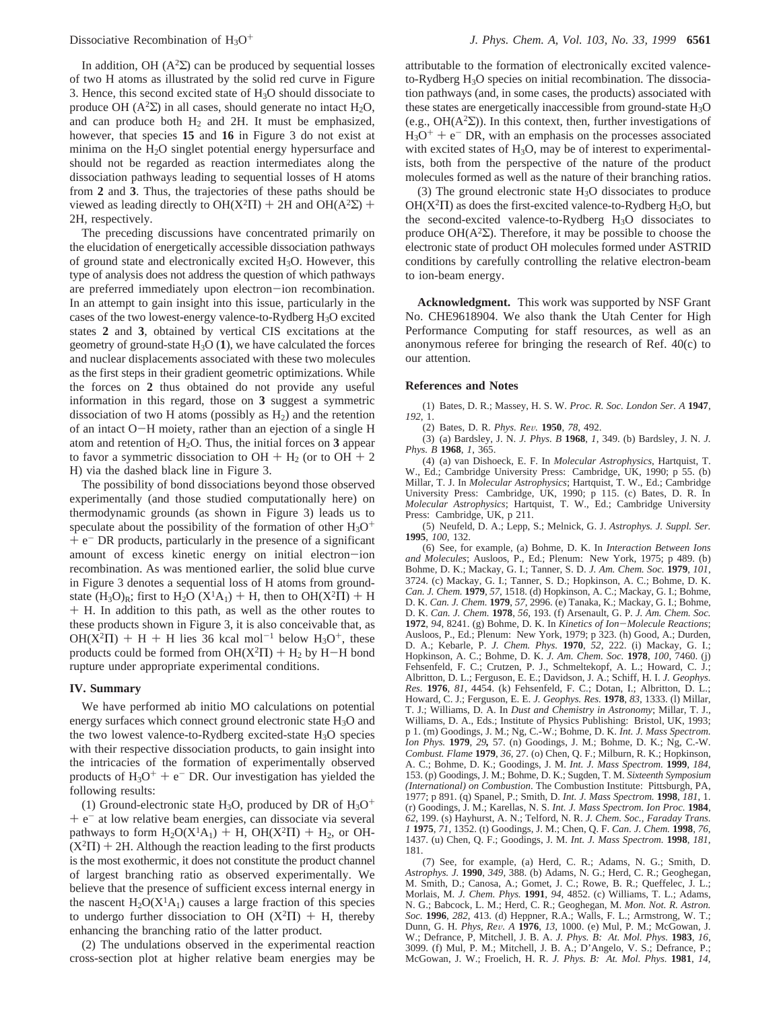In addition, OH  $(A^2\Sigma)$  can be produced by sequential losses of two H atoms as illustrated by the solid red curve in Figure 3. Hence, this second excited state of  $H_3O$  should dissociate to produce OH ( $A^2\Sigma$ ) in all cases, should generate no intact H<sub>2</sub>O, and can produce both  $H_2$  and 2H. It must be emphasized, however, that species **15** and **16** in Figure 3 do not exist at minima on the H2O singlet potential energy hypersurface and should not be regarded as reaction intermediates along the dissociation pathways leading to sequential losses of H atoms from **2** and **3**. Thus, the trajectories of these paths should be viewed as leading directly to  $OH(X^2\Pi) + 2H$  and  $OH(A^2\Sigma)$  + 2H, respectively.

The preceding discussions have concentrated primarily on the elucidation of energetically accessible dissociation pathways of ground state and electronically excited  $H_3O$ . However, this type of analysis does not address the question of which pathways are preferred immediately upon electron-ion recombination. In an attempt to gain insight into this issue, particularly in the cases of the two lowest-energy valence-to-Rydberg H3O excited states **2** and **3**, obtained by vertical CIS excitations at the geometry of ground-state  $H_3O(1)$ , we have calculated the forces and nuclear displacements associated with these two molecules as the first steps in their gradient geometric optimizations. While the forces on **2** thus obtained do not provide any useful information in this regard, those on **3** suggest a symmetric dissociation of two H atoms (possibly as  $H_2$ ) and the retention of an intact O-H moiety, rather than an ejection of a single H atom and retention of  $H_2O$ . Thus, the initial forces on **3** appear to favor a symmetric dissociation to  $OH + H<sub>2</sub>$  (or to  $OH + 2$ H) via the dashed black line in Figure 3.

The possibility of bond dissociations beyond those observed experimentally (and those studied computationally here) on thermodynamic grounds (as shown in Figure 3) leads us to speculate about the possibility of the formation of other  $H_3O^+$  $+ e^{-}$  DR products, particularly in the presence of a significant amount of excess kinetic energy on initial electron-ion recombination. As was mentioned earlier, the solid blue curve in Figure 3 denotes a sequential loss of H atoms from groundstate  $(H_3O)_R$ ; first to  $H_2O(X^1A_1) + H$ , then to  $OH(X^2\Pi) + H$ + H. In addition to this path, as well as the other routes to these products shown in Figure 3, it is also conceivable that, as  $OH(X<sup>2</sup>\Pi) + H + H$  lies 36 kcal mol<sup>-1</sup> below H<sub>3</sub>O<sup>+</sup>, these products could be formed from  $OH(X^2\Pi) + H_2$  by H-H bond rupture under appropriate experimental conditions.

## **IV. Summary**

We have performed ab initio MO calculations on potential energy surfaces which connect ground electronic state H3O and the two lowest valence-to-Rydberg excited-state  $H_3O$  species with their respective dissociation products, to gain insight into the intricacies of the formation of experimentally observed products of  $H_3O^+$  + e<sup>-</sup> DR. Our investigation has yielded the following results:

(1) Ground-electronic state H<sub>3</sub>O, produced by DR of H<sub>3</sub>O<sup>+</sup>  $+ e^{-}$  at low relative beam energies, can dissociate via several pathways to form  $H_2O(X^1A_1) + H$ ,  $OH(X^2\Pi) + H_2$ , or OH- $(X^2\Pi)$  + 2H. Although the reaction leading to the first products is the most exothermic, it does not constitute the product channel of largest branching ratio as observed experimentally. We believe that the presence of sufficient excess internal energy in the nascent  $H_2O(X^1A_1)$  causes a large fraction of this species to undergo further dissociation to OH  $(X^2\Pi)$  + H, thereby enhancing the branching ratio of the latter product.

(2) The undulations observed in the experimental reaction cross-section plot at higher relative beam energies may be

attributable to the formation of electronically excited valenceto-Rydberg  $H_3O$  species on initial recombination. The dissociation pathways (and, in some cases, the products) associated with these states are energetically inaccessible from ground-state  $H_3O$ (e.g.,  $OH(A^{2}\Sigma)$ ). In this context, then, further investigations of  $H_3O^+$  + e<sup>-</sup> DR, with an emphasis on the processes associated with excited states of  $H_3O$ , may be of interest to experimentalists, both from the perspective of the nature of the product molecules formed as well as the nature of their branching ratios.

(3) The ground electronic state H3O dissociates to produce  $OH(X<sup>2</sup>\Pi)$  as does the first-excited valence-to-Rydberg H<sub>3</sub>O, but the second-excited valence-to-Rydberg H3O dissociates to produce OH( $A<sup>2</sup>\Sigma$ ). Therefore, it may be possible to choose the electronic state of product OH molecules formed under ASTRID conditions by carefully controlling the relative electron-beam to ion-beam energy.

**Acknowledgment.** This work was supported by NSF Grant No. CHE9618904. We also thank the Utah Center for High Performance Computing for staff resources, as well as an anonymous referee for bringing the research of Ref. 40(c) to our attention.

#### **References and Notes**

(1) Bates, D. R.; Massey, H. S. W. *Proc. R. Soc. London Ser. A* **1947**, *192*, 1.

(2) Bates, D. R. *Phys. Re*V*.* **<sup>1950</sup>**, *<sup>78</sup>*, 492.

(3) (a) Bardsley, J. N. *J. Phys. B* **1968**, *1*, 349. (b) Bardsley, J. N. *J. Phys. B* **1968**, *1*, 365.

(4) (a) van Dishoeck, E. F. In *Molecular Astrophysics*, Hartquist, T. W., Ed.; Cambridge University Press: Cambridge, UK, 1990; p 55. (b) Millar, T. J. In *Molecular Astrophysics*; Hartquist, T. W., Ed.; Cambridge University Press: Cambridge, UK, 1990; p 115. (c) Bates, D. R. In *Molecular Astrophysics*; Hartquist, T. W., Ed.; Cambridge University Press: Cambridge, UK, p 211.

(5) Neufeld, D. A.; Lepp, S.; Melnick, G. J. *Astrophys. J. Suppl. Ser.* **1995**, *100*, 132.

(6) See, for example, (a) Bohme, D. K. In *Interaction Between Ions and Molecules*; Ausloos, P., Ed.; Plenum: New York, 1975; p 489. (b) Bohme, D. K.; Mackay, G. I.; Tanner, S. D. *J. Am. Chem. Soc.* **1979**, *101*, 3724. (c) Mackay, G. I.; Tanner, S. D.; Hopkinson, A. C.; Bohme, D. K. *Can. J. Chem.* **1979**, *57*, 1518. (d) Hopkinson, A. C.; Mackay, G. I.; Bohme, D. K. *Can. J. Chem.* **1979**, *57*, 2996. (e) Tanaka, K.; Mackay, G. I.; Bohme, D. K. *Can. J. Chem.* **1978**, *56*, 193. (f) Arsenault, G. P. *J. Am. Chem. Soc.* **<sup>1972</sup>**, *<sup>94</sup>*, 8241. (g) Bohme, D. K. In *Kinetics of Ion*-*Molecule Reactions*; Ausloos, P., Ed.; Plenum: New York, 1979; p 323. (h) Good, A.; Durden, D. A.; Kebarle, P. *J. Chem. Phys.* **1970**, *52*, 222. (i) Mackay, G. I.; Hopkinson, A. C.; Bohme, D. K. *J. Am. Chem. Soc.* **1978**, *100*, 7460. (j) Fehsenfeld, F. C.; Crutzen, P. J., Schmeltekopf, A. L.; Howard, C. J.; Albritton, D. L.; Ferguson, E. E.; Davidson, J. A.; Schiff, H. I. *J. Geophys. Res.* **1976**, *81*, 4454. (k) Fehsenfeld, F. C.; Dotan, I.; Albritton, D. L.; Howard, C. J.; Ferguson, E. E. *J. Geophys. Res.* **1978**, *83*, 1333. (l) Millar, T. J.; Williams, D. A. In *Dust and Chemistry in Astronomy*; Millar, T. J., Williams, D. A., Eds.; Institute of Physics Publishing: Bristol, UK, 1993; p 1. (m) Goodings, J. M.; Ng, C.-W.; Bohme, D. K. *Int. J. Mass Spectrom. Ion Phys.* **1979**, *29,* 57. (n) Goodings, J. M.; Bohme, D. K.; Ng, C.-W. *Combust. Flame* **1979**, *36*, 27. (o) Chen, Q. F.; Milburn, R. K.; Hopkinson, A. C.; Bohme, D. K.; Goodings, J. M. *Int. J. Mass Spectrom.* **1999**, *184*, 153. (p) Goodings, J. M.; Bohme, D. K.; Sugden, T. M. *Sixteenth Symposium (International) on Combustion*. The Combustion Institute: Pittsburgh, PA, 1977; p 891. (q) Spanel, P.; Smith, D. *Int. J. Mass Spectrom.* **1998**, *181*, 1. (r) Goodings, J. M.; Karellas, N. S. *Int. J. Mass Spectrom. Ion Proc.* **1984**, *62*, 199. (s) Hayhurst, A. N.; Telford, N. R. *J. Chem. Soc., Faraday Trans. 1* **1975**, *71*, 1352. (t) Goodings, J. M.; Chen, Q. F. *Can. J. Chem.* **1998**, *76*, 1437. (u) Chen, Q. F.; Goodings, J. M. *Int. J. Mass Spectrom.* **1998**, *181*, 181.

(7) See, for example, (a) Herd, C. R.; Adams, N. G.; Smith, D. *Astrophys. J.* **1990**, *349*, 388. (b) Adams, N. G.; Herd, C. R.; Geoghegan, M. Smith, D.; Canosa, A.; Gomet, J. C.; Rowe, B. R.; Queffelec, J. L.; Morlais, M. *J. Chem. Phys.* **1991**, *94*, 4852. (c) Williams, T. L.; Adams, N. G.; Babcock, L. M.; Herd, C. R.; Geoghegan, M. *Mon. Not. R. Astron. Soc.* **1996**, *282*, 413. (d) Heppner, R.A.; Walls, F. L.; Armstrong, W. T.; Dunn, G. H. *Phys, Re*V*. A* **<sup>1976</sup>**, *<sup>13</sup>*, 1000. (e) Mul, P. M.; McGowan, J. W.; Defrance, P, Mitchell, J. B. A. *J. Phys. B: At. Mol. Phys.* **1983**, *16*, 3099. (f) Mul, P. M.; Mitchell, J. B. A.; D'Angelo, V. S.; Defrance, P.; McGowan, J. W.; Froelich, H. R. *J. Phys. B: At. Mol. Phys.* **1981**, *14*,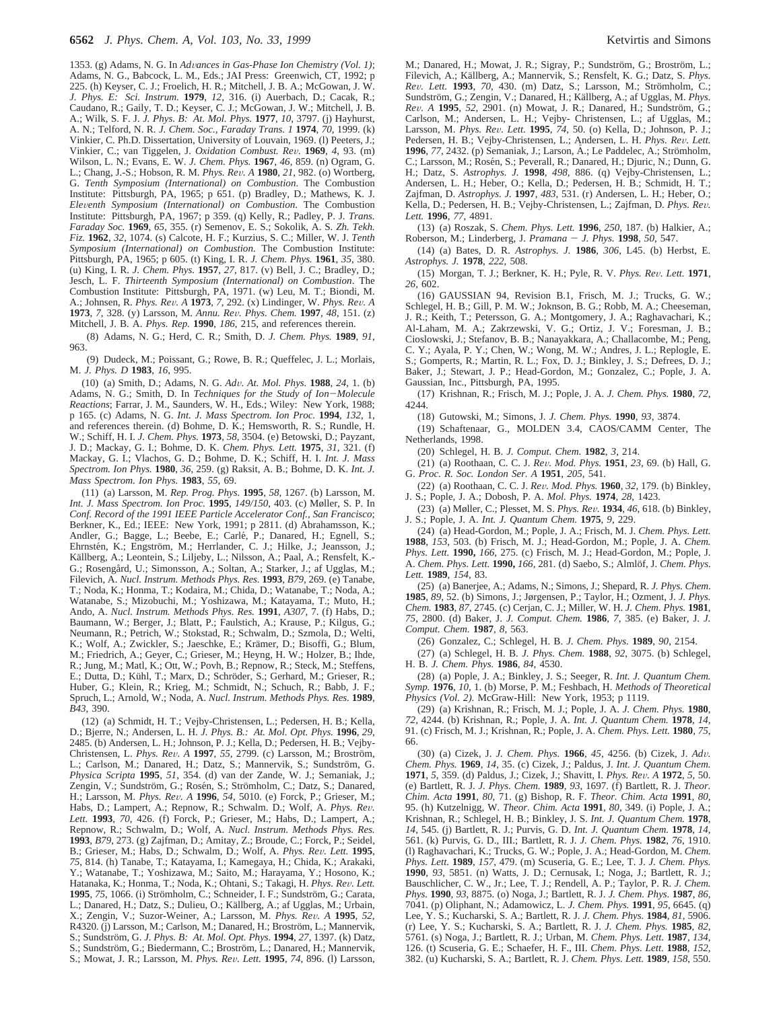1353. (g) Adams, N. G. In *Ad*V*ances in Gas-Phase Ion Chemistry (Vol. 1)*; Adams, N. G., Babcock, L. M., Eds.; JAI Press: Greenwich, CT, 1992; p 225. (h) Keyser, C. J.; Froelich, H. R.; Mitchell, J. B. A.; McGowan, J. W. *J. Phys. E: Sci. Instrum.* **1979**, *12*, 316. (i) Auerbach, D.; Cacak, R.; Caudano, R.; Gaily, T. D.; Keyser, C. J.; McGowan, J. W.; Mitchell, J. B. A.; Wilk, S. F. J. *J. Phys. B: At. Mol. Phys.* **1977**, *10*, 3797. (j) Hayhurst, A. N.; Telford, N. R. *J. Chem. Soc., Faraday Trans. 1* **1974**, *70*, 1999. (k) Vinkier, C. Ph.D. Dissertation, University of Louvain, 1969. (l) Peeters, J.; Vinkier, C.; van Tiggelen, J. *Oxidation Combust. Re*V*.* **<sup>1969</sup>**, *<sup>4</sup>*, 93. (m) Wilson, L. N.; Evans, E. W. *J. Chem. Phys.* **1967**, *46*, 859. (n) Ogram, G. L.; Chang, J.-S.; Hobson, R. M. *Phys. Re*V*. A* **<sup>1980</sup>**, *<sup>21</sup>*, 982. (o) Wortberg, G. *Tenth Symposium (International) on Combustion*. The Combustion Institute: Pittsburgh, PA, 1965; p 651. (p) Bradley, D.; Mathews, K. J. *Ele*V*enth Symposium (International) on Combustion*. The Combustion Institute: Pittsburgh, PA, 1967; p 359. (q) Kelly, R.; Padley, P. J. *Trans. Faraday Soc.* **1969**, *65*, 355. (r) Semenov, E. S.; Sokolik, A. S. *Zh. Tekh. Fiz.* **1962**, *32*, 1074. (s) Calcote, H. F.; Kurzius, S. C.; Miller, W. J. *Tenth Symposium (International) on Combustion*. The Combustion Institute: Pittsburgh, PA, 1965; p 605. (t) King, I. R. *J. Chem. Phys.* **1961**, *35*, 380. (u) King, I. R. *J. Chem. Phys.* **1957**, *27*, 817. (v) Bell, J. C.; Bradley, D.; Jesch, L. F. *Thirteenth Symposium (International) on Combustion*. The Combustion Institute: Pittsburgh, PA, 1971. (w) Leu, M. T.; Biondi, M. A.; Johnsen, R. *Phys. Re*V*. A* **<sup>1973</sup>**, *<sup>7</sup>*, 292. (x) Lindinger, W. *Phys. Re*V*. A* **<sup>1973</sup>**, *<sup>7</sup>*, 328. (y) Larsson, M. *Annu. Re*V*. Phys. Chem.* **<sup>1997</sup>**, *<sup>48</sup>*, 151. (z) Mitchell, J. B. A. *Phys. Rep.* **1990**, *186*, 215, and references therein.

(8) Adams, N. G.; Herd, C. R.; Smith, D. *J. Chem. Phys.* **1989**, *91*, 963.

(9) Dudeck, M.; Poissant, G.; Rowe, B. R.; Queffelec, J. L.; Morlais, M. *J. Phys. D* **1983**, *16*, 995.

(10) (a) Smith, D.; Adams, N. G. *Ad*V*. At. Mol. Phys.* **<sup>1988</sup>**, *<sup>24</sup>*, 1. (b) Adams, N. G.; Smith, D. In *Techniques for the Study of Ion*-*Molecule Reactions*; Farrar, J. M., Saunders, W. H., Eds.; Wiley: New York, 1988; p 165. (c) Adams, N. G. *Int. J. Mass Spectrom. Ion Proc.* **1994**, *132*, 1, and references therein. (d) Bohme, D. K.; Hemsworth, R. S.; Rundle, H. W.; Schiff, H. I. *J. Chem. Phys.* **1973**, *58*, 3504. (e) Betowski, D.; Payzant, J. D.; Mackay, G. I.; Bohme, D. K. *Chem. Phys. Lett.* **1975**, *31*, 321. (f) Mackay, G. I.; Vlachos, G. D.; Bohme, D. K.; Schiff, H. I. *Int. J. Mass Spectrom. Ion Phys.* **1980**, *36*, 259. (g) Raksit, A. B.; Bohme, D. K. *Int. J. Mass Spectrom. Ion Phys.* **1983**, *55*, 69.

(11) (a) Larsson, M. *Rep. Prog. Phys.* **1995**, *58*, 1267. (b) Larsson, M. *Int. J. Mass Spectrom. Ion Proc.* **1995**, *149/150*, 403. (c) Møller, S. P. In *Conf. Record of the 1991 IEEE Particle Accelerator Conf., San Francisco*; Berkner, K., Ed.; IEEE: New York, 1991; p 2811. (d) Abrahamsson, K.; Andler, G.; Bagge, L.; Beebe, E.; Carlé, P.; Danared, H.; Egnell, S.; Ehrnstén, K.; Engström, M.; Herrlander, C. J.; Hilke, J.; Jeansson, J.; Källberg, A.; Leontein, S.; Liljeby, L.; Nilsson, A.; Paal, A.; Rensfelt, K.-G.; Rosengård, U.; Simonsson, A.; Soltan, A.; Starker, J.; af Ugglas, M.; Filevich, A. *Nucl. Instrum. Methods Phys. Res.* **1993**, *B79*, 269. (e) Tanabe, T.; Noda, K.; Honma, T.; Kodaira, M.; Chida, D.; Watanabe, T.; Noda, A.; Watanabe, S.; Mizobuchi, M.; Yoshizawa, M.; Katayama, T.; Muto, H.; Ando, A. *Nucl. Instrum. Methods Phys. Res.* **1991**, *A307*, 7. (f) Habs, D.; Baumann, W.; Berger, J.; Blatt, P.; Faulstich, A.; Krause, P.; Kilgus, G.; Neumann, R.; Petrich, W.; Stokstad, R.; Schwalm, D.; Szmola, D.; Welti, K.; Wolf, A.; Zwickler, S.; Jaeschke, E.; Krämer, D.; Bisoffi, G.; Blum, M.; Friedrich, A.; Geyer, C.; Grieser, M.; Heyng, H. W.; Holzer, B.; Ihde, R.; Jung, M.; Matl, K.; Ott, W.; Povh, B.; Repnow, R.; Steck, M.; Steffens, E.; Dutta, D.; Kühl, T.; Marx, D.; Schröder, S.; Gerhard, M.; Grieser, R.; Huber, G.; Klein, R.; Krieg, M.; Schmidt, N.; Schuch, R.; Babb, J. F.; Spruch, L.; Arnold, W.; Noda, A. *Nucl. Instrum. Methods Phys. Res.* **1989**, *B43*, 390.

(12) (a) Schmidt, H. T.; Vejby-Christensen, L.; Pedersen, H. B.; Kella, D.; Bjerre, N.; Andersen, L. H. *J. Phys. B.: At. Mol. Opt. Phys.* **1996**, *29*, 2485. (b) Andersen, L. H.; Johnson, P. J.; Kella, D.; Pedersen, H. B.; Vejby-Christensen, L. *Phys. Rev. A* **1997**, 55, 2799. (c) Larsson, M.; Broström, L.; Carlson, M.; Danared, H.; Datz, S.; Mannervik, S.; Sundström, G. *Physica Scripta* **1995**, *51*, 354. (d) van der Zande, W. J.; Semaniak, J.; Zengin, V.; Sundström, G.; Rosén, S.; Strömholm, C.; Datz, S.; Danared, H.; Larsson, M. *Phys. Re*V*. A* **<sup>1996</sup>**, *<sup>54</sup>*, 5010. (e) Forck, P.; Grieser, M.; Habs, D.; Lampert, A.; Repnow, R.; Schwalm. D.; Wolf, A. Phys. Rev. *Lett.* **1993**, *70*, 426. (f) Forck, P.; Grieser, M.; Habs, D.; Lampert, A.; Repnow, R.; Schwalm, D.; Wolf, A. *Nucl. Instrum. Methods Phys. Res.* **1993**, *B79*, 273. (g) Zajfman, D.; Amitay, Z.; Broude, C.; Forck, P.; Seidel, B.; Grieser, M.; Habs, D.; Schwalm, D.; Wolf, A. *Phys. Re*V*. Lett.* **<sup>1995</sup>**, *75*, 814. (h) Tanabe, T.; Katayama, I.; Kamegaya, H.; Chida, K.; Arakaki, Y.; Watanabe, T.; Yoshizawa, M.; Saito, M.; Harayama, Y.; Hosono, K.; Hatanaka, K.; Honma, T.; Noda, K.; Ohtani, S.; Takagi, H. Phys. Rev. Lett. 1995, 75, 1066. (i) Strömholm, C.; Schneider, I. F.; Sundström, G.; Carata, L.; Danared, H.; Datz, S.; Dulieu, O.; Källberg, A.; af Ugglas, M.; Urbain, X.; Zengin, V.; Suzor-Weiner, A.; Larsson, M. *Phys. Re*V*. A* **<sup>1995</sup>**, *<sup>52</sup>*, R4320. (j) Larsson, M.; Carlson, M.; Danared, H.; Broström, L.; Mannervik, S.; Sundström, G. J. Phys. B: At. Mol. Opt. Phys. 1994, 27, 1397. (k) Datz, S.; Sundström, G.; Biedermann, C.; Broström, L.; Danared, H.; Mannervik, S.; Mowat, J. R.; Larsson, M. *Phys. Re*V*. Lett.* **<sup>1995</sup>**, *<sup>74</sup>*, 896. (l) Larsson,

M.; Danared, H.; Mowat, J. R.; Sigray, P.; Sundström, G.; Broström, L.; Filevich, A.; Källberg, A.; Mannervik, S.; Rensfelt, K. G.; Datz, S. Phys. *Rev. Lett.* **1993**, *70*, 430. (m) Datz, S.; Larsson, M.; Strömholm, C.; Sundström, G.; Zengin, V.; Danared, H.; Källberg, A.; af Ugglas, M. *Phys. Rev. A* **1995**, 52, 2901. (n) Mowat, J. R.; Danared, H.; Sundström, G.; Carlson, M.; Andersen, L. H.; Vejby- Christensen, L.; af Ugglas, M.; Larsson, M. *Phys. Re*V*. Lett.* **<sup>1995</sup>**, *<sup>74</sup>*, 50. (o) Kella, D.; Johnson, P. J.; Pedersen, H. B.; Vejby-Christensen, L.; Andersen, L. H. *Phys. Rev. Lett.* **1996**, 77, 2432. (p) Semaniak, J.; Larson, A.; Le Paddelec, A.; Strömholm, C.; Larsson, M.; Rosén, S.; Peverall, R.; Danared, H.; Djuric, N.; Dunn, G. H.; Datz, S. *Astrophys. J.* **1998**, *498*, 886. (q) Vejby-Christensen, L.; Andersen, L. H.; Heber, O.; Kella, D.; Pedersen, H. B.; Schmidt, H. T.; Zajfman, D. *Astrophys. J.* **1997**, *483*, 531. (r) Andersen, L. H.; Heber, O.; Kella, D.; Pedersen, H. B.; Vejby-Christensen, L.; Zajfman, D. *Phys. Re*V*. Lett.* **1996**, *77*, 4891.

(13) (a) Roszak, S. *Chem. Phys. Lett.* **1996**, *250*, 187. (b) Halkier, A.; Roberson, M.; Linderberg, J. *Pramana* - *J. Phys.* **<sup>1998</sup>**, *<sup>50</sup>*, 547.

(14) (a) Bates, D. R. *Astrophys. J.* **1986**, *306*, L45. (b) Herbst, E. *Astrophys. J.* **1978**, *222*, 508.

(15) Morgan, T. J.; Berkner, K. H.; Pyle, R. V. *Phys. Re*V*. Lett.* **<sup>1971</sup>**, *26*, 602.

(16) GAUSSIAN 94, Revision B.1, Frisch, M. J.; Trucks, G. W.; Schlegel, H. B.; Gill, P. M. W.; Joknson, B. G.; Robb, M. A.; Cheeseman, J. R.; Keith, T.; Petersson, G. A.; Montgomery, J. A.; Raghavachari, K.; Al-Laham, M. A.; Zakrzewski, V. G.; Ortiz, J. V.; Foresman, J. B.; Cioslowski, J.; Stefanov, B. B.; Nanayakkara, A.; Challacombe, M.; Peng, C. Y.; Ayala, P. Y.; Chen, W.; Wong, M. W.; Andres, J. L.; Replogle, E. S.; Gomperts, R.; Martin, R. L.; Fox, D. J.; Binkley, J. S.; Defrees, D. J.; Baker, J.; Stewart, J. P.; Head-Gordon, M.; Gonzalez, C.; Pople, J. A. Gaussian, Inc., Pittsburgh, PA, 1995.

(17) Krishnan, R.; Frisch, M. J.; Pople, J. A. *J. Chem. Phys.* **1980**, *72*,  $4244$ 

(18) Gutowski, M.; Simons, J. *J. Chem. Phys.* **1990**, *93*, 3874.

(19) Schaftenaar, G., MOLDEN 3.4, CAOS/CAMM Center, The Netherlands, 1998.

(20) Schlegel, H. B. *J. Comput. Chem.* **1982**, *3*, 214.

(21) (a) Roothaan, C. C. J. *Re*V*. Mod. Phys.* **<sup>1951</sup>**, *<sup>23</sup>*, 69. (b) Hall, G. G. *Proc. R. Soc. London Ser. A* **1951**, *205*, 541.

(22) (a) Roothaan, C. C. J. *Re*V*. Mod. Phys.* **<sup>1960</sup>**, *<sup>32</sup>*, 179. (b) Binkley, J. S.; Pople, J. A.; Dobosh, P. A. *Mol. Phys.* **1974**, *28*, 1423.

(23) (a) Møller, C.; Plesset, M. S. *Phys. Re*V*.* **<sup>1934</sup>**, *<sup>46</sup>*, 618. (b) Binkley, J. S.; Pople, J. A. *Int. J. Quantum Chem.* **1975**, *9*, 229.

(24) (a) Head-Gordon, M.; Pople, J. A.; Frisch, M. J. *Chem. Phys. Lett.* **1988**, *153*, 503. (b) Frisch, M. J.; Head-Gordon, M.; Pople, J. A. *Chem. Phys. Lett.* **1990,** *166*, 275. (c) Frisch, M. J.; Head-Gordon, M.; Pople, J. A. *Chem. Phys. Lett.* **1990**, *166*, 281. (d) Saebo, S.; Almlöf, J. *Chem. Phys. Lett.* **1989**, *154*, 83.

(25) (a) Banerjee, A.; Adams, N.; Simons, J.; Shepard, R. *J. Phys. Chem.* **1985**, *89*, 52. (b) Simons, J.; Jørgensen, P.; Taylor, H.; Ozment, J. *J. Phys. Chem.* **1983**, *87*, 2745. (c) Cerjan, C. J.; Miller, W. H. *J. Chem. Phys.* **1981**, *75*, 2800. (d) Baker, J. *J. Comput. Chem.* **1986**, *7*, 385. (e) Baker, J. *J. Comput. Chem.* **1987**, *8*, 563.

(26) Gonzalez, C.; Schlegel, H. B. *J. Chem. Phys.* **1989**, *90*, 2154.

(27) (a) Schlegel, H. B. *J. Phys. Chem.* **1988**, *92*, 3075. (b) Schlegel, H. B. *J. Chem. Phys.* **1986**, *84*, 4530.

(28) (a) Pople, J. A.; Binkley, J. S.; Seeger, R. *Int. J. Quantum Chem. Symp.* **1976**, *10,* 1. (b) Morse, P. M.; Feshbach, H. *Methods of Theoretical Physics (Vol. 2).* McGraw-Hill: New York, 1953; p 1119.

(29) (a) Krishnan, R.; Frisch, M. J.; Pople, J. A. *J. Chem. Phys.* **1980**, *72*, 4244. (b) Krishnan, R.; Pople, J. A. *Int. J. Quantum Chem.* **1978**, *14*, 91. (c) Frisch, M. J.; Krishnan, R.; Pople, J. A. *Chem. Phys. Lett.* **1980**, *75*, 66.

(30) (a) Cizek, J. *J. Chem. Phys.* **<sup>1966</sup>**, *<sup>45</sup>*, 4256. (b) Cizek, J. *Ad*V*. Chem. Phys.* **1969**, *14*, 35. (c) Cizek, J.; Paldus, J. *Int. J. Quantum Chem.* **<sup>1971</sup>**, *<sup>5</sup>*, 359. (d) Paldus, J.; Cizek, J.; Shavitt, I. *Phys. Re*V*. A* **<sup>1972</sup>**, *<sup>5</sup>*, 50. (e) Bartlett, R. J. *J. Phys. Chem.* **1989**, *93*, 1697. (f) Bartlett, R. J. *Theor. Chim. Acta* **1991**, *80*, 71. (g) Bishop, R. F. *Theor. Chim. Acta* **1991**, *80*, 95. (h) Kutzelnigg, W. *Theor. Chim. Acta* **1991**, *80*, 349. (i) Pople, J. A.; Krishnan, R.; Schlegel, H. B.; Binkley, J. S. *Int. J. Quantum Chem.* **1978**, *14*, 545. (j) Bartlett, R. J.; Purvis, G. D. *Int. J. Quantum Chem.* **1978**, *14*, 561. (k) Purvis, G. D., III.; Bartlett, R. J. *J. Chem. Phys.* **1982**, *76*, 1910. (l) Raghavachari, K.; Trucks, G. W.; Pople, J. A.; Head-Gordon, M. *Chem. Phys. Lett.* **1989**, *157*, 479. (m) Scuseria, G. E.; Lee, T. J. *J. Chem. Phys.* **1990**, *93*, 5851. (n) Watts, J. D.; Cernusak, I.; Noga, J.; Bartlett, R. J.; Bauschlicher, C. W., Jr.; Lee, T. J.; Rendell, A. P.; Taylor, P. R. *J. Chem. Phys.* **1990**, *93*, 8875. (o) Noga, J.; Bartlett, R. J. *J. Chem. Phys.* **1987**, *86*, 7041. (p) Oliphant, N.; Adamowicz, L. *J. Chem. Phys.* **1991**, *95*, 6645. (q) Lee, Y. S.; Kucharski, S. A.; Bartlett, R. J. *J. Chem. Phys.* **1984**, *81*, 5906. (r) Lee, Y. S.; Kucharski, S. A.; Bartlett, R. J. *J. Chem. Phys.* **1985**, *82*, 5761. (s) Noga, J.; Bartlett, R. J.; Urban, M. *Chem. Phys. Lett.* **1987**, *134*, 126. (t) Scuseria, G. E.; Schaefer, H. F., III. *Chem. Phys. Lett.* **1988**, *152*, 382. (u) Kucharski, S. A.; Bartlett, R. J. *Chem. Phys. Lett.* **1989**, *158*, 550.